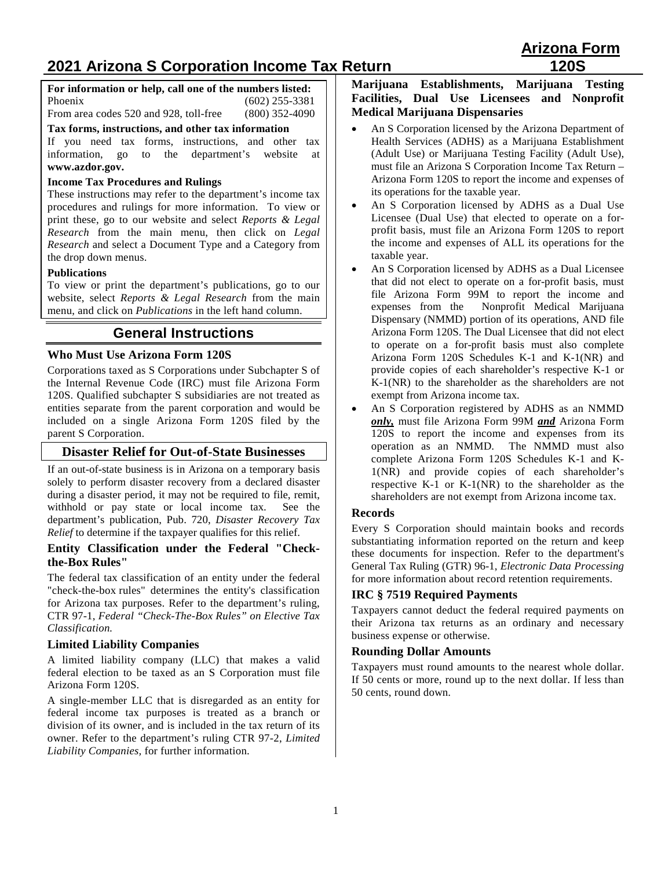# **2021 Arizona S Corporation Income Tax Return 120S**

**For information or help, call one of the numbers listed:** Phoenix (602) 255-3381 From area codes 520 and 928, toll-free (800) 352-4090

#### **Tax forms, instructions, and other tax information**

If you need tax forms, instructions, and other tax information, go to the department's website at **[www.azdor.gov.](http://www.azdor.gov/)** 

#### **Income Tax Procedures and Rulings**

These instructions may refer to the department's income tax procedures and rulings for more information. To view or print these, go to our website and select *Reports & Legal Research* from the main menu, then click on *Legal Research* and select a Document Type and a Category from the drop down menus.

#### **Publications**

To view or print the department's publications, go to our website, select *Reports & Legal Research* from the main menu, and click on *Publications* in the left hand column.

## **General Instructions**

## **Who Must Use Arizona Form 120S**

Corporations taxed as S Corporations under Subchapter S of the Internal Revenue Code (IRC) must file Arizona Form 120S. Qualified subchapter S subsidiaries are not treated as entities separate from the parent corporation and would be included on a single Arizona Form 120S filed by the parent S Corporation.

## **Disaster Relief for Out-of-State Businesses**

If an out-of-state business is in Arizona on a temporary basis solely to perform disaster recovery from a declared disaster during a disaster period, it may not be required to file, remit, withhold or pay state or local income tax. See the department's publication, Pub. 720, *Disaster Recovery Tax Relief* to determine if the taxpayer qualifies for this relief.

#### **Entity Classification under the Federal "Checkthe-Box Rules"**

The federal tax classification of an entity under the federal "check-the-box rules" determines the entity's classification for Arizona tax purposes. Refer to the department's ruling, CTR 97-1, *Federal "Check-The-Box Rules" on Elective Tax Classification.* 

### **Limited Liability Companies**

A limited liability company (LLC) that makes a valid federal election to be taxed as an S Corporation must file Arizona Form 120S.

A single-member LLC that is disregarded as an entity for federal income tax purposes is treated as a branch or division of its owner, and is included in the tax return of its owner. Refer to the department's ruling CTR 97-2, *Limited Liability Companies,* for further information.

#### **Marijuana Establishments, Marijuana Testing Facilities, Dual Use Licensees and Nonprofit Medical Marijuana Dispensaries**

- An S Corporation licensed by the Arizona Department of Health Services (ADHS) as a Marijuana Establishment (Adult Use) or Marijuana Testing Facility (Adult Use), must file an Arizona S Corporation Income Tax Return – Arizona Form 120S to report the income and expenses of its operations for the taxable year.
- An S Corporation licensed by ADHS as a Dual Use Licensee (Dual Use) that elected to operate on a forprofit basis, must file an Arizona Form 120S to report the income and expenses of ALL its operations for the taxable year.
- An S Corporation licensed by ADHS as a Dual Licensee that did not elect to operate on a for-profit basis, must file Arizona Form 99M to report the income and expenses from the Nonprofit Medical Marijuana Nonprofit Medical Marijuana Dispensary (NMMD) portion of its operations, AND file Arizona Form 120S. The Dual Licensee that did not elect to operate on a for-profit basis must also complete Arizona Form 120S Schedules K-1 and K-1(NR) and provide copies of each shareholder's respective K-1 or K-1(NR) to the shareholder as the shareholders are not exempt from Arizona income tax.
- An S Corporation registered by ADHS as an NMMD *only,* must file Arizona Form 99M *and* Arizona Form 120S to report the income and expenses from its operation as an NMMD. The NMMD must also complete Arizona Form 120S Schedules K-1 and K-1(NR) and provide copies of each shareholder's respective K-1 or K-1(NR) to the shareholder as the shareholders are not exempt from Arizona income tax.

## **Records**

Every S Corporation should maintain books and records substantiating information reported on the return and keep these documents for inspection. Refer to the department's General Tax Ruling (GTR) 96-1, *Electronic Data Processing* for more information about record retention requirements.

## **IRC § 7519 Required Payments**

Taxpayers cannot deduct the federal required payments on their Arizona tax returns as an ordinary and necessary business expense or otherwise.

## **Rounding Dollar Amounts**

Taxpayers must round amounts to the nearest whole dollar. If 50 cents or more, round up to the next dollar. If less than 50 cents, round down.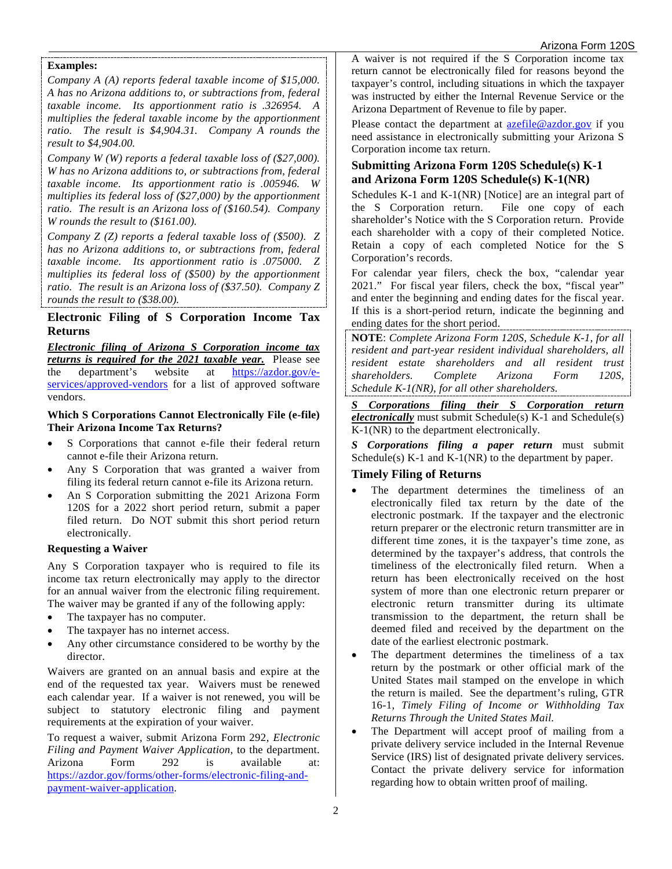#### **Examples:**

*Company A (A) reports federal taxable income of \$15,000. A has no Arizona additions to, or subtractions from, federal taxable income. Its apportionment ratio is .326954. A multiplies the federal taxable income by the apportionment ratio. The result is \$4,904.31. Company A rounds the result to \$4,904.00.* 

*Company W (W) reports a federal taxable loss of (\$27,000). W has no Arizona additions to, or subtractions from, federal taxable income. Its apportionment ratio is .005946. W multiplies its federal loss of (\$27,000) by the apportionment ratio. The result is an Arizona loss of (\$160.54). Company W rounds the result to (\$161.00).* 

*Company Z (Z) reports a federal taxable loss of (\$500). Z has no Arizona additions to, or subtractions from, federal taxable income. Its apportionment ratio is .075000. Z multiplies its federal loss of (\$500) by the apportionment ratio. The result is an Arizona loss of (\$37.50). Company Z rounds the result to (\$38.00).* 

## **Electronic Filing of S Corporation Income Tax Returns**

*Electronic filing of Arizona S Corporation income tax returns is required for the 2021 taxable year.* Please see the department's website at [https://azdor.gov/e](https://azdor.gov/e-services/approved-vendors)[services/approved-vendors](https://azdor.gov/e-services/approved-vendors) for a list of approved software vendors.

**Which S Corporations Cannot Electronically File (e-file) Their Arizona Income Tax Returns?** 

- S Corporations that cannot e-file their federal return cannot e-file their Arizona return.
- Any S Corporation that was granted a waiver from filing its federal return cannot e-file its Arizona return.
- An S Corporation submitting the 2021 Arizona Form 120S for a 2022 short period return, submit a paper filed return. Do NOT submit this short period return electronically.

#### **Requesting a Waiver**

Any S Corporation taxpayer who is required to file its income tax return electronically may apply to the director for an annual waiver from the electronic filing requirement. The waiver may be granted if any of the following apply:

- The taxpayer has no computer.
- The taxpayer has no internet access.
- Any other circumstance considered to be worthy by the director.

Waivers are granted on an annual basis and expire at the end of the requested tax year. Waivers must be renewed each calendar year. If a waiver is not renewed, you will be subject to statutory electronic filing and payment requirements at the expiration of your waiver.

To request a waiver, submit Arizona Form 292, *Electronic Filing and Payment Waiver Application*, to the department. Arizona Form 292 is available at: [https://azdor.gov/forms/other-forms/electronic-filing-and](https://azdor.gov/forms/other-forms/electronic-filing-and-payment-waiver-application)[payment-waiver-application.](https://azdor.gov/forms/other-forms/electronic-filing-and-payment-waiver-application)

A waiver is not required if the S Corporation income tax return cannot be electronically filed for reasons beyond the taxpayer's control, including situations in which the taxpayer was instructed by either the Internal Revenue Service or the Arizona Department of Revenue to file by paper.

Please contact the department at [azefile@azdor.gov](mailto:azefile@azdor.gov) if you need assistance in electronically submitting your Arizona S Corporation income tax return.

### **Submitting Arizona Form 120S Schedule(s) K-1 and Arizona Form 120S Schedule(s) K-1(NR)**

Schedules K-1 and K-1(NR) [Notice] are an integral part of the S Corporation return. File one copy of each shareholder's Notice with the S Corporation return. Provide each shareholder with a copy of their completed Notice. Retain a copy of each completed Notice for the S Corporation's records.

For calendar year filers, check the box, "calendar year 2021." For fiscal year filers, check the box, "fiscal year" and enter the beginning and ending dates for the fiscal year. If this is a short-period return, indicate the beginning and ending dates for the short period.

**NOTE**: *Complete Arizona Form 120S, Schedule K-1, for all resident and part-year resident individual shareholders, all resident estate shareholders and all resident trust shareholders. Complete Arizona Form 120S, Schedule K-1(NR), for all other shareholders.*

*S Corporations filing their S Corporation return electronically* must submit Schedule(s) K-1 and Schedule(s) K-1(NR) to the department electronically.

*S Corporations filing a paper return* must submit Schedule(s)  $K-1$  and  $K-1(NR)$  to the department by paper.

### **Timely Filing of Returns**

- The department determines the timeliness of an electronically filed tax return by the date of the electronic postmark. If the taxpayer and the electronic return preparer or the electronic return transmitter are in different time zones, it is the taxpayer's time zone, as determined by the taxpayer's address, that controls the timeliness of the electronically filed return. When a return has been electronically received on the host system of more than one electronic return preparer or electronic return transmitter during its ultimate transmission to the department, the return shall be deemed filed and received by the department on the date of the earliest electronic postmark.
- The department determines the timeliness of a tax return by the postmark or other official mark of the United States mail stamped on the envelope in which the return is mailed. See the department's ruling, GTR 16-1, *Timely Filing of Income or Withholding Tax Returns Through the United States Mail.*
- The Department will accept proof of mailing from a private delivery service included in the Internal Revenue Service (IRS) list of designated private delivery services. Contact the private delivery service for information regarding how to obtain written proof of mailing.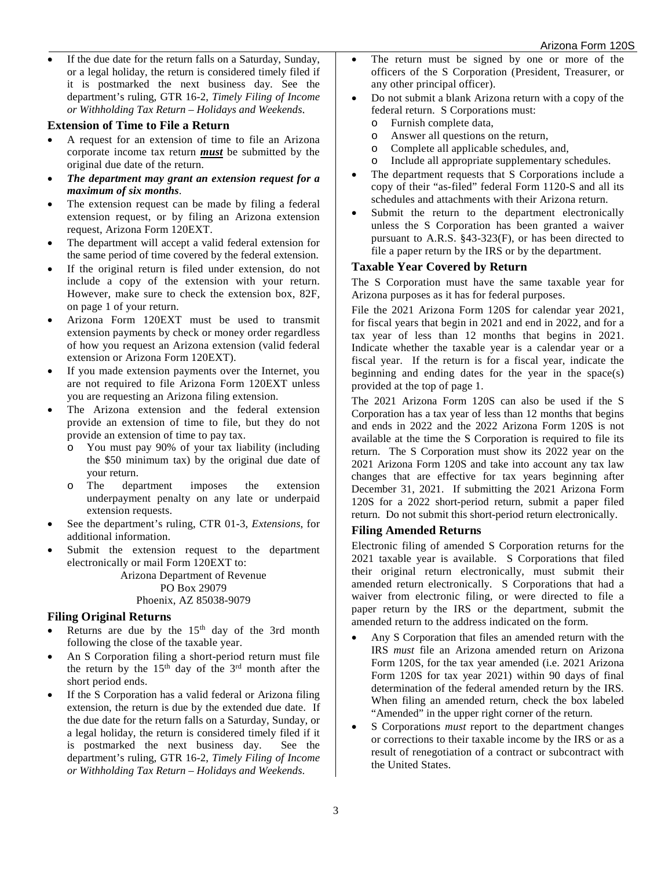If the due date for the return falls on a Saturday, Sunday, or a legal holiday, the return is considered timely filed if it is postmarked the next business day. See the department's ruling, GTR 16-2, *Timely Filing of Income or Withholding Tax Return – Holidays and Weekends*.

#### **Extension of Time to File a Return**

- A request for an extension of time to file an Arizona corporate income tax return *must* be submitted by the original due date of the return.
- *The department may grant an extension request for a maximum of six months*.
- The extension request can be made by filing a federal extension request, or by filing an Arizona extension request, Arizona Form 120EXT.
- The department will accept a valid federal extension for the same period of time covered by the federal extension.
- If the original return is filed under extension, do not include a copy of the extension with your return. However, make sure to check the extension box, 82F, on page 1 of your return.
- Arizona Form 120EXT must be used to transmit extension payments by check or money order regardless of how you request an Arizona extension (valid federal extension or Arizona Form 120EXT).
- If you made extension payments over the Internet, you are not required to file Arizona Form 120EXT unless you are requesting an Arizona filing extension.
- The Arizona extension and the federal extension provide an extension of time to file, but they do not provide an extension of time to pay tax.
	- o You must pay 90% of your tax liability (including the \$50 minimum tax) by the original due date of your return.<br>
	o The depa
	- department imposes the extension underpayment penalty on any late or underpaid extension requests.
- See the department's ruling, CTR 01-3, *Extensions*, for additional information.
- Submit the extension request to the department electronically or mail Form 120EXT to:

Arizona Department of Revenue PO Box 29079 Phoenix, AZ 85038-9079

### **Filing Original Returns**

- Returns are due by the  $15<sup>th</sup>$  day of the 3rd month following the close of the taxable year.
- An S Corporation filing a short-period return must file the return by the  $15<sup>th</sup>$  day of the  $3<sup>rd</sup>$  month after the short period ends.
- If the S Corporation has a valid federal or Arizona filing extension, the return is due by the extended due date. If the due date for the return falls on a Saturday, Sunday, or a legal holiday, the return is considered timely filed if it is postmarked the next business day. See the department's ruling, GTR 16-2, *Timely Filing of Income or Withholding Tax Return – Holidays and Weekends*.
- The return must be signed by one or more of the officers of the S Corporation (President, Treasurer, or any other principal officer).
- Do not submit a blank Arizona return with a copy of the federal return. S Corporations must:
	- o Furnish complete data,
	- Answer all questions on the return,
	- o Complete all applicable schedules, and,
	- Include all appropriate supplementary schedules.
- The department requests that S Corporations include a copy of their "as-filed" federal Form 1120-S and all its schedules and attachments with their Arizona return.
- Submit the return to the department electronically unless the S Corporation has been granted a waiver pursuant to A.R.S. §43-323(F), or has been directed to file a paper return by the IRS or by the department.

### **Taxable Year Covered by Return**

The S Corporation must have the same taxable year for Arizona purposes as it has for federal purposes.

File the 2021 Arizona Form 120S for calendar year 2021, for fiscal years that begin in 2021 and end in 2022, and for a tax year of less than 12 months that begins in 2021. Indicate whether the taxable year is a calendar year or a fiscal year. If the return is for a fiscal year, indicate the beginning and ending dates for the year in the space(s) provided at the top of page 1.

The 2021 Arizona Form 120S can also be used if the S Corporation has a tax year of less than 12 months that begins and ends in 2022 and the 2022 Arizona Form 120S is not available at the time the S Corporation is required to file its return. The S Corporation must show its 2022 year on the 2021 Arizona Form 120S and take into account any tax law changes that are effective for tax years beginning after December 31, 2021. If submitting the 2021 Arizona Form 120S for a 2022 short-period return, submit a paper filed return. Do not submit this short-period return electronically.

### **Filing Amended Returns**

Electronic filing of amended S Corporation returns for the 2021 taxable year is available. S Corporations that filed their original return electronically, must submit their amended return electronically. S Corporations that had a waiver from electronic filing, or were directed to file a paper return by the IRS or the department, submit the amended return to the address indicated on the form.

- Any S Corporation that files an amended return with the IRS *must* file an Arizona amended return on Arizona Form 120S, for the tax year amended (i.e. 2021 Arizona Form 120S for tax year 2021) within 90 days of final determination of the federal amended return by the IRS. When filing an amended return, check the box labeled "Amended" in the upper right corner of the return.
- S Corporations *must* report to the department changes or corrections to their taxable income by the IRS or as a result of renegotiation of a contract or subcontract with the United States.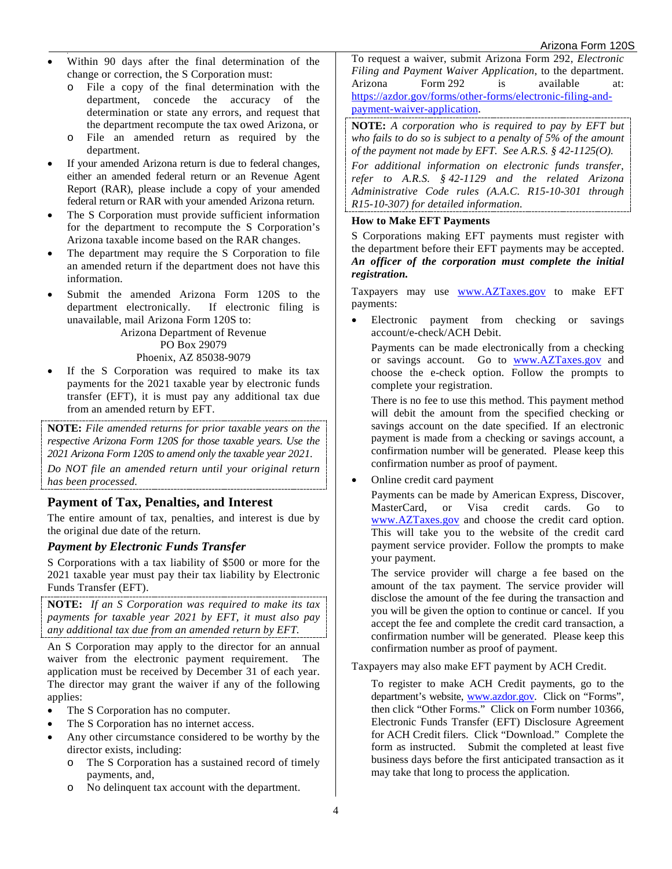- Within 90 days after the final determination of the change or correction, the S Corporation must:
	- o File a copy of the final determination with the department, concede the accuracy of the determination or state any errors, and request that the department recompute the tax owed Arizona, or
	- o File an amended return as required by the department.
- If your amended Arizona return is due to federal changes, either an amended federal return or an Revenue Agent Report (RAR), please include a copy of your amended federal return or RAR with your amended Arizona return.
- The S Corporation must provide sufficient information for the department to recompute the S Corporation's Arizona taxable income based on the RAR changes.
- The department may require the S Corporation to file an amended return if the department does not have this information.
- Submit the amended Arizona Form 120S to the department electronically. If electronic filing is unavailable, mail Arizona Form 120S to:

Arizona Department of Revenue

PO Box 29079 Phoenix, AZ 85038-9079

If the S Corporation was required to make its tax payments for the 2021 taxable year by electronic funds transfer (EFT), it is must pay any additional tax due from an amended return by EFT.

**NOTE:** *File amended returns for prior taxable years on the respective Arizona Form 120S for those taxable years. Use the 2021 Arizona Form 120S to amend only the taxable year 2021. Do NOT file an amended return until your original return has been processed.*

## **Payment of Tax, Penalties, and Interest**

The entire amount of tax, penalties, and interest is due by the original due date of the return.

### *Payment by Electronic Funds Transfer*

S Corporations with a tax liability of \$500 or more for the 2021 taxable year must pay their tax liability by Electronic Funds Transfer (EFT).

**NOTE:** *If an S Corporation was required to make its tax payments for taxable year 2021 by EFT, it must also pay any additional tax due from an amended return by EFT.*

An S Corporation may apply to the director for an annual waiver from the electronic payment requirement. The application must be received by December 31 of each year. The director may grant the waiver if any of the following applies:

- The S Corporation has no computer.
- The S Corporation has no internet access.
- Any other circumstance considered to be worthy by the director exists, including:
	- o The S Corporation has a sustained record of timely payments, and,
	- o No delinquent tax account with the department.

To request a waiver, submit Arizona Form 292, *Electronic Filing and Payment Waiver Application*, to the department. Arizona Form 292 is available at: [https://azdor.gov/forms/other-forms/electronic-filing-and](https://azdor.gov/forms/other-forms/electronic-filing-and-payment-waiver-application)[payment-waiver-application.](https://azdor.gov/forms/other-forms/electronic-filing-and-payment-waiver-application)

**NOTE:** *A corporation who is required to pay by EFT but who fails to do so is subject to a penalty of 5% of the amount of the payment not made by EFT. See A.R.S. § 42-1125(O).*

*For additional information on electronic funds transfer, refer to A.R.S. § 42-1129 and the related Arizona Administrative Code rules (A.A.C. R15-10-301 through R15-10-307) for detailed information.*

#### **How to Make EFT Payments**

S Corporations making EFT payments must register with the department before their EFT payments may be accepted. *An officer of the corporation must complete the initial registration.*

Taxpayers may use www.AZTaxes.gov to make EFT payments:

• Electronic payment from checking or savings account/e-check/ACH Debit.

Payments can be made electronically from a checking or savings account. Go to www.AZTaxes.gov and choose the e-check option. Follow the prompts to complete your registration.

There is no fee to use this method. This payment method will debit the amount from the specified checking or savings account on the date specified. If an electronic payment is made from a checking or savings account, a confirmation number will be generated. Please keep this confirmation number as proof of payment.

• Online credit card payment

Payments can be made by American Express, Discover, MasterCard, or Visa credit cards. Go to www.AZTaxes.gov and choose the credit card option. This will take you to the website of the credit card payment service provider. Follow the prompts to make your payment.

The service provider will charge a fee based on the amount of the tax payment. The service provider will disclose the amount of the fee during the transaction and you will be given the option to continue or cancel. If you accept the fee and complete the credit card transaction, a confirmation number will be generated. Please keep this confirmation number as proof of payment.

Taxpayers may also make EFT payment by ACH Credit.

To register to make ACH Credit payments, go to the department's website, www.azdor.gov. Click on "Forms", then click "Other Forms." Click on Form number 10366, Electronic Funds Transfer (EFT) Disclosure Agreement for ACH Credit filers. Click "Download." Complete the form as instructed. Submit the completed at least five business days before the first anticipated transaction as it may take that long to process the application.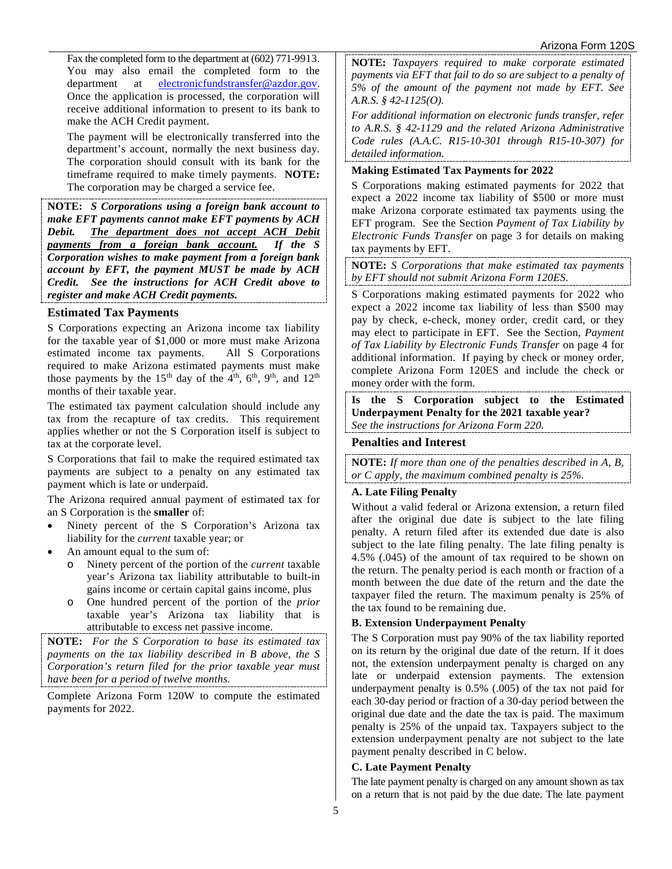Fax the completed form to the department at (602) 771-9913. You may also email the completed form to the department at electronicfundstransfer@azdor.gov. Once the application is processed, the corporation will receive additional information to present to its bank to make the ACH Credit payment.

The payment will be electronically transferred into the department's account, normally the next business day. The corporation should consult with its bank for the timeframe required to make timely payments. **NOTE:** The corporation may be charged a service fee.

**NOTE:** *S Corporations using a foreign bank account to make EFT payments cannot make EFT payments by ACH Debit. The department does not accept ACH Debit payments from a foreign bank account. If the S Corporation wishes to make payment from a foreign bank account by EFT, the payment MUST be made by ACH Credit. See the instructions for ACH Credit above to register and make ACH Credit payments.* 

### **Estimated Tax Payments**

S Corporations expecting an Arizona income tax liability for the taxable year of \$1,000 or more must make Arizona estimated income tax payments. All S Corporations required to make Arizona estimated payments must make those payments by the  $15<sup>th</sup>$  day of the  $4<sup>th</sup>$ ,  $6<sup>th</sup>$ ,  $9<sup>th</sup>$ , and  $12<sup>th</sup>$ months of their taxable year.

The estimated tax payment calculation should include any tax from the recapture of tax credits. This requirement applies whether or not the S Corporation itself is subject to tax at the corporate level.

S Corporations that fail to make the required estimated tax payments are subject to a penalty on any estimated tax payment which is late or underpaid.

The Arizona required annual payment of estimated tax for an S Corporation is the **smaller** of:

- Ninety percent of the S Corporation's Arizona tax liability for the *current* taxable year; or
- An amount equal to the sum of:
	- o Ninety percent of the portion of the *current* taxable year's Arizona tax liability attributable to built-in gains income or certain capital gains income, plus
	- o One hundred percent of the portion of the *prior* taxable year's Arizona tax liability that is attributable to excess net passive income.

**NOTE:** *For the S Corporation to base its estimated tax payments on the tax liability described in B above, the S Corporation's return filed for the prior taxable year must have been for a period of twelve months.* 

Complete Arizona Form 120W to compute the estimated payments for 2022.

**NOTE:** *Taxpayers required to make corporate estimated payments via EFT that fail to do so are subject to a penalty of 5% of the amount of the payment not made by EFT. See A.R.S. § 42-1125(O).*

*For additional information on electronic funds transfer, refer to A.R.S. § 42-1129 and the related Arizona Administrative Code rules (A.A.C. R15-10-301 through R15-10-307) for detailed information.*

#### **Making Estimated Tax Payments for 2022**

S Corporations making estimated payments for 2022 that expect a 2022 income tax liability of \$500 or more must make Arizona corporate estimated tax payments using the EFT program. See the Section *Payment of Tax Liability by Electronic Funds Transfer* on page 3 for details on making tax payments by EFT.

**NOTE:** *S Corporations that make estimated tax payments by EFT should not submit Arizona Form 120ES.*

S Corporations making estimated payments for 2022 who expect a 2022 income tax liability of less than \$500 may pay by check, e-check, money order, credit card, or they may elect to participate in EFT. See the Section, *Payment of Tax Liability by Electronic Funds Transfer* on page 4 for additional information. If paying by check or money order, complete Arizona Form 120ES and include the check or money order with the form.

**Is the S Corporation subject to the Estimated Underpayment Penalty for the 2021 taxable year?** *See the instructions for Arizona Form 220.* 

### **Penalties and Interest**

**NOTE:** *If more than one of the penalties described in A, B, or C apply, the maximum combined penalty is 25%.*

### **A. Late Filing Penalty**

Without a valid federal or Arizona extension, a return filed after the original due date is subject to the late filing penalty. A return filed after its extended due date is also subject to the late filing penalty. The late filing penalty is 4.5% (.045) of the amount of tax required to be shown on the return. The penalty period is each month or fraction of a month between the due date of the return and the date the taxpayer filed the return. The maximum penalty is 25% of the tax found to be remaining due.

#### **B. Extension Underpayment Penalty**

The S Corporation must pay 90% of the tax liability reported on its return by the original due date of the return. If it does not, the extension underpayment penalty is charged on any late or underpaid extension payments. The extension underpayment penalty is 0.5% (.005) of the tax not paid for each 30-day period or fraction of a 30-day period between the original due date and the date the tax is paid. The maximum penalty is 25% of the unpaid tax. Taxpayers subject to the extension underpayment penalty are not subject to the late payment penalty described in C below.

### **C. Late Payment Penalty**

The late payment penalty is charged on any amount shown as tax on a return that is not paid by the due date. The late payment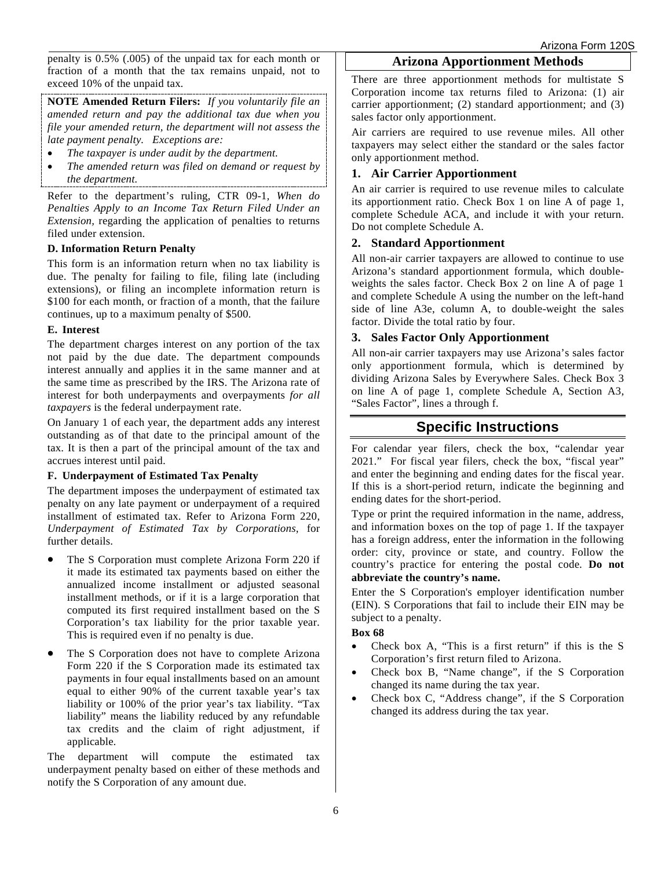penalty is 0.5% (.005) of the unpaid tax for each month or fraction of a month that the tax remains unpaid, not to exceed 10% of the unpaid tax.

**NOTE Amended Return Filers:** *If you voluntarily file an amended return and pay the additional tax due when you file your amended return, the department will not assess the late payment penalty. Exceptions are:*

- *The taxpayer is under audit by the department.*
- *The amended return was filed on demand or request by the department.*

Refer to the department's ruling, CTR 09-1*, When do Penalties Apply to an Income Tax Return Filed Under an Extension,* regarding the application of penalties to returns filed under extension.

#### **D. Information Return Penalty**

This form is an information return when no tax liability is due. The penalty for failing to file, filing late (including extensions), or filing an incomplete information return is \$100 for each month, or fraction of a month, that the failure continues, up to a maximum penalty of \$500.

#### **E. Interest**

The department charges interest on any portion of the tax not paid by the due date. The department compounds interest annually and applies it in the same manner and at the same time as prescribed by the IRS. The Arizona rate of interest for both underpayments and overpayments *for all taxpayers* is the federal underpayment rate.

On January 1 of each year, the department adds any interest outstanding as of that date to the principal amount of the tax. It is then a part of the principal amount of the tax and accrues interest until paid.

#### **F. Underpayment of Estimated Tax Penalty**

The department imposes the underpayment of estimated tax penalty on any late payment or underpayment of a required installment of estimated tax. Refer to Arizona Form 220, *Underpayment of Estimated Tax by Corporations*, for further details.

- The S Corporation must complete Arizona Form 220 if it made its estimated tax payments based on either the annualized income installment or adjusted seasonal installment methods, or if it is a large corporation that computed its first required installment based on the S Corporation's tax liability for the prior taxable year. This is required even if no penalty is due.
- The S Corporation does not have to complete Arizona Form 220 if the S Corporation made its estimated tax payments in four equal installments based on an amount equal to either 90% of the current taxable year's tax liability or 100% of the prior year's tax liability. "Tax liability" means the liability reduced by any refundable tax credits and the claim of right adjustment, if applicable.

The department will compute the estimated tax underpayment penalty based on either of these methods and notify the S Corporation of any amount due.

### **Arizona Apportionment Methods**

There are three apportionment methods for multistate S Corporation income tax returns filed to Arizona: (1) air carrier apportionment; (2) standard apportionment; and (3) sales factor only apportionment.

Air carriers are required to use revenue miles. All other taxpayers may select either the standard or the sales factor only apportionment method.

#### **1. Air Carrier Apportionment**

An air carrier is required to use revenue miles to calculate its apportionment ratio. Check Box 1 on line A of page 1, complete Schedule ACA, and include it with your return. Do not complete Schedule A.

#### **2. Standard Apportionment**

All non-air carrier taxpayers are allowed to continue to use Arizona's standard apportionment formula, which doubleweights the sales factor. Check Box 2 on line A of page 1 and complete Schedule A using the number on the left-hand side of line A3e, column A, to double-weight the sales factor. Divide the total ratio by four.

#### **3. Sales Factor Only Apportionment**

All non-air carrier taxpayers may use Arizona's sales factor only apportionment formula, which is determined by dividing Arizona Sales by Everywhere Sales. Check Box 3 on line A of page 1, complete Schedule A, Section A3, "Sales Factor", lines a through f.

## **Specific Instructions**

For calendar year filers, check the box, "calendar year 2021." For fiscal year filers, check the box, "fiscal year" and enter the beginning and ending dates for the fiscal year. If this is a short-period return, indicate the beginning and ending dates for the short-period.

Type or print the required information in the name, address, and information boxes on the top of page 1. If the taxpayer has a foreign address, enter the information in the following order: city, province or state, and country. Follow the country's practice for entering the postal code. **Do not abbreviate the country's name.**

Enter the S Corporation's employer identification number (EIN). S Corporations that fail to include their EIN may be subject to a penalty.

## **Box 68**

- Check box A, "This is a first return" if this is the S Corporation's first return filed to Arizona.
- Check box B, "Name change", if the S Corporation changed its name during the tax year.
- Check box C, "Address change", if the S Corporation changed its address during the tax year.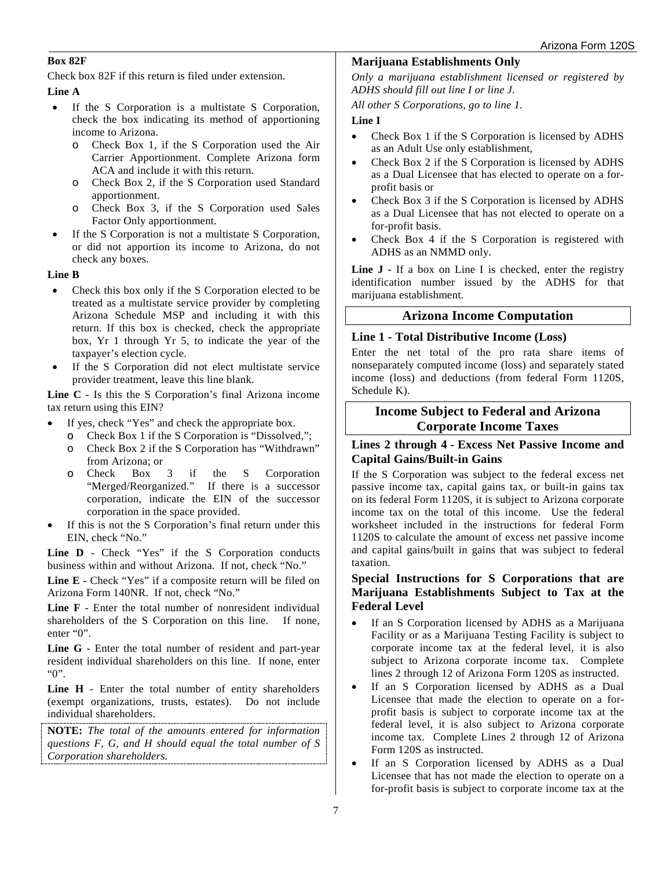#### **Box 82F**

Check box 82F if this return is filed under extension.

#### **Line A**

- If the S Corporation is a multistate S Corporation, check the box indicating its method of apportioning income to Arizona.
	- o Check Box 1, if the S Corporation used the Air Carrier Apportionment. Complete Arizona form ACA and include it with this return.
	- o Check Box 2, if the S Corporation used Standard apportionment.
	- o Check Box 3, if the S Corporation used Sales Factor Only apportionment.
- If the S Corporation is not a multistate S Corporation, or did not apportion its income to Arizona, do not check any boxes.

#### **Line B**

- Check this box only if the S Corporation elected to be treated as a multistate service provider by completing Arizona Schedule MSP and including it with this return. If this box is checked, check the appropriate box, Yr 1 through Yr 5, to indicate the year of the taxpayer's election cycle.
- If the S Corporation did not elect multistate service provider treatment, leave this line blank.

**Line C -** Is this the S Corporation's final Arizona income tax return using this EIN?

- If yes, check "Yes" and check the appropriate box.
	- o Check Box 1 if the S Corporation is "Dissolved,";
	- o Check Box 2 if the S Corporation has "Withdrawn" from Arizona; or
	- o Check Box 3 if the S Corporation "Merged/Reorganized." If there is a successor corporation, indicate the EIN of the successor corporation in the space provided.
- If this is not the S Corporation's final return under this EIN, check "No."

**Line D** - Check "Yes" if the S Corporation conducts business within and without Arizona. If not, check "No."

Line E - Check "Yes" if a composite return will be filed on Arizona Form 140NR. If not, check "No."

**Line F** - Enter the total number of nonresident individual shareholders of the S Corporation on this line. If none, enter "0".

**Line G** - Enter the total number of resident and part-year resident individual shareholders on this line. If none, enter "0".

**Line H** - Enter the total number of entity shareholders (exempt organizations, trusts, estates). Do not include individual shareholders.

**NOTE:** *The total of the amounts entered for information questions F, G, and H should equal the total number of S Corporation shareholders.* 

#### **Marijuana Establishments Only**

*Only a marijuana establishment licensed or registered by ADHS should fill out line I or line J.* 

*All other S Corporations, go to line 1.*

#### **Line I**

- Check Box 1 if the S Corporation is licensed by ADHS as an Adult Use only establishment,
- Check Box 2 if the S Corporation is licensed by ADHS as a Dual Licensee that has elected to operate on a forprofit basis or
- Check Box 3 if the S Corporation is licensed by ADHS as a Dual Licensee that has not elected to operate on a for-profit basis.
- Check Box 4 if the S Corporation is registered with ADHS as an NMMD only.

**Line J -** If a box on Line I is checked, enter the registry identification number issued by the ADHS for that marijuana establishment.

### **Arizona Income Computation**

#### **Line 1 - Total Distributive Income (Loss)**

Enter the net total of the pro rata share items of nonseparately computed income (loss) and separately stated income (loss) and deductions (from federal Form 1120S, Schedule K).

## **Income Subject to Federal and Arizona Corporate Income Taxes**

### **Lines 2 through 4 - Excess Net Passive Income and Capital Gains/Built-in Gains**

If the S Corporation was subject to the federal excess net passive income tax, capital gains tax, or built-in gains tax on its federal Form 1120S, it is subject to Arizona corporate income tax on the total of this income. Use the federal worksheet included in the instructions for federal Form 1120S to calculate the amount of excess net passive income and capital gains/built in gains that was subject to federal taxation.

### **Special Instructions for S Corporations that are Marijuana Establishments Subject to Tax at the Federal Level**

- If an S Corporation licensed by ADHS as a Marijuana Facility or as a Marijuana Testing Facility is subject to corporate income tax at the federal level, it is also subject to Arizona corporate income tax. Complete lines 2 through 12 of Arizona Form 120S as instructed.
- If an S Corporation licensed by ADHS as a Dual Licensee that made the election to operate on a forprofit basis is subject to corporate income tax at the federal level, it is also subject to Arizona corporate income tax. Complete Lines 2 through 12 of Arizona Form 120S as instructed.
- If an S Corporation licensed by ADHS as a Dual Licensee that has not made the election to operate on a for-profit basis is subject to corporate income tax at the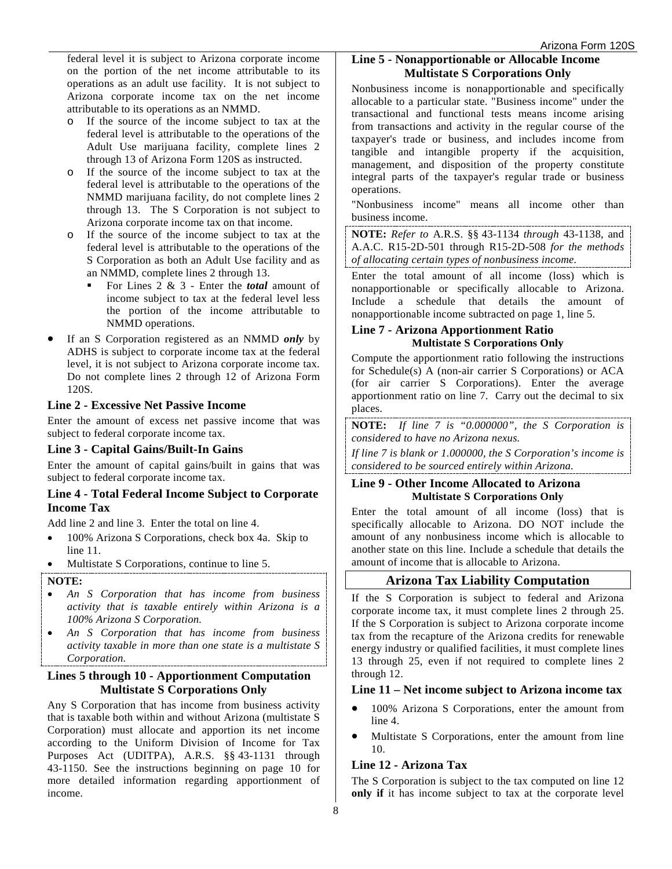federal level it is subject to Arizona corporate income on the portion of the net income attributable to its operations as an adult use facility. It is not subject to Arizona corporate income tax on the net income attributable to its operations as an NMMD.

- o If the source of the income subject to tax at the federal level is attributable to the operations of the Adult Use marijuana facility, complete lines 2 through 13 of Arizona Form 120S as instructed.
- o If the source of the income subject to tax at the federal level is attributable to the operations of the NMMD marijuana facility, do not complete lines 2 through 13. The S Corporation is not subject to Arizona corporate income tax on that income.
- o If the source of the income subject to tax at the federal level is attributable to the operations of the S Corporation as both an Adult Use facility and as an NMMD, complete lines 2 through 13.
	- For Lines 2 & 3 Enter the *total* amount of income subject to tax at the federal level less the portion of the income attributable to NMMD operations.
- If an S Corporation registered as an NMMD *only* by ADHS is subject to corporate income tax at the federal level, it is not subject to Arizona corporate income tax. Do not complete lines 2 through 12 of Arizona Form 120S.

#### **Line 2 - Excessive Net Passive Income**

Enter the amount of excess net passive income that was subject to federal corporate income tax.

#### **Line 3 - Capital Gains/Built-In Gains**

Enter the amount of capital gains/built in gains that was subject to federal corporate income tax.

#### **Line 4 - Total Federal Income Subject to Corporate Income Tax**

Add line 2 and line 3. Enter the total on line 4.

- 100% Arizona S Corporations, check box 4a. Skip to line 11.
- Multistate S Corporations, continue to line 5.

#### **NOTE:**

- *An S Corporation that has income from business activity that is taxable entirely within Arizona is a 100% Arizona S Corporation.*
- *An S Corporation that has income from business activity taxable in more than one state is a multistate S Corporation.*

### **Lines 5 through 10 - Apportionment Computation Multistate S Corporations Only**

Any S Corporation that has income from business activity that is taxable both within and without Arizona (multistate S Corporation) must allocate and apportion its net income according to the Uniform Division of Income for Tax Purposes Act (UDITPA), A.R.S. §§ 43-1131 through 43-1150. See the instructions beginning on page 10 for more detailed information regarding apportionment of income.

## **Line 5 - Nonapportionable or Allocable Income Multistate S Corporations Only**

Nonbusiness income is nonapportionable and specifically allocable to a particular state. "Business income" under the transactional and functional tests means income arising from transactions and activity in the regular course of the taxpayer's trade or business, and includes income from tangible and intangible property if the acquisition, management, and disposition of the property constitute integral parts of the taxpayer's regular trade or business operations.

"Nonbusiness income" means all income other than business income.

**NOTE:** *Refer to* A.R.S. §§ 43-1134 *through* 43-1138, and A.A.C. R15-2D-501 through R15-2D-508 *for the methods of allocating certain types of nonbusiness income.*

Enter the total amount of all income (loss) which is nonapportionable or specifically allocable to Arizona. Include a schedule that details the amount of nonapportionable income subtracted on page 1, line 5.

#### **Line 7 - Arizona Apportionment Ratio Multistate S Corporations Only**

Compute the apportionment ratio following the instructions for Schedule(s) A (non-air carrier S Corporations) or ACA (for air carrier S Corporations). Enter the average apportionment ratio on line 7. Carry out the decimal to six places.

**NOTE:** *If line 7 is "0.000000", the S Corporation is considered to have no Arizona nexus.* 

*If line 7 is blank or 1.000000, the S Corporation's income is considered to be sourced entirely within Arizona.* 

#### **Line 9 - Other Income Allocated to Arizona Multistate S Corporations Only**

Enter the total amount of all income (loss) that is specifically allocable to Arizona. DO NOT include the amount of any nonbusiness income which is allocable to another state on this line. Include a schedule that details the amount of income that is allocable to Arizona.

### **Arizona Tax Liability Computation**

If the S Corporation is subject to federal and Arizona corporate income tax, it must complete lines 2 through 25. If the S Corporation is subject to Arizona corporate income tax from the recapture of the Arizona credits for renewable energy industry or qualified facilities, it must complete lines 13 through 25, even if not required to complete lines 2 through 12.

#### **Line 11 – Net income subject to Arizona income tax**

- 100% Arizona S Corporations, enter the amount from line 4.
- Multistate S Corporations, enter the amount from line 10.

### **Line 12 - Arizona Tax**

The S Corporation is subject to the tax computed on line 12 **only if** it has income subject to tax at the corporate level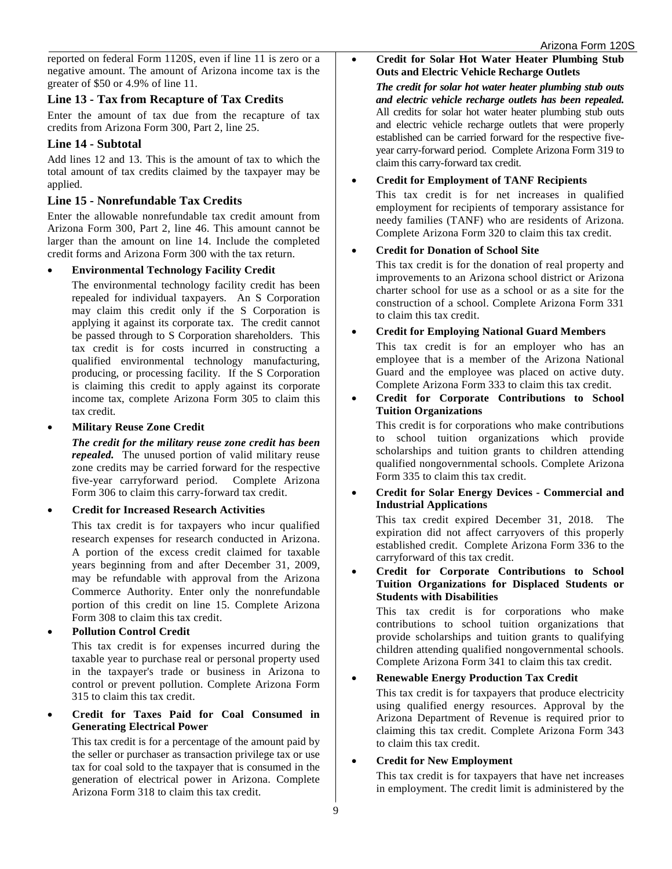reported on federal Form 1120S, even if line 11 is zero or a negative amount. The amount of Arizona income tax is the greater of \$50 or 4.9% of line 11.

### **Line 13 - Tax from Recapture of Tax Credits**

Enter the amount of tax due from the recapture of tax credits from Arizona Form 300, Part 2, line 25.

#### **Line 14 - Subtotal**

Add lines 12 and 13. This is the amount of tax to which the total amount of tax credits claimed by the taxpayer may be applied.

### **Line 15 - Nonrefundable Tax Credits**

Enter the allowable nonrefundable tax credit amount from Arizona Form 300, Part 2, line 46. This amount cannot be larger than the amount on line 14. Include the completed credit forms and Arizona Form 300 with the tax return.

#### • **Environmental Technology Facility Credit**

The environmental technology facility credit has been repealed for individual taxpayers. An S Corporation may claim this credit only if the S Corporation is applying it against its corporate tax. The credit cannot be passed through to S Corporation shareholders. This tax credit is for costs incurred in constructing a qualified environmental technology manufacturing, producing, or processing facility. If the S Corporation is claiming this credit to apply against its corporate income tax, complete Arizona Form 305 to claim this tax credit.

#### • **Military Reuse Zone Credit**

*The credit for the military reuse zone credit has been repealed.* The unused portion of valid military reuse zone credits may be carried forward for the respective five-year carryforward period. Complete Arizona Form 306 to claim this carry-forward tax credit.

#### • **Credit for Increased Research Activities**

This tax credit is for taxpayers who incur qualified research expenses for research conducted in Arizona. A portion of the excess credit claimed for taxable years beginning from and after December 31, 2009, may be refundable with approval from the Arizona Commerce Authority. Enter only the nonrefundable portion of this credit on line 15. Complete Arizona Form 308 to claim this tax credit.

#### • **Pollution Control Credit**

This tax credit is for expenses incurred during the taxable year to purchase real or personal property used in the taxpayer's trade or business in Arizona to control or prevent pollution. Complete Arizona Form 315 to claim this tax credit.

• **Credit for Taxes Paid for Coal Consumed in Generating Electrical Power**

This tax credit is for a percentage of the amount paid by the seller or purchaser as transaction privilege tax or use tax for coal sold to the taxpayer that is consumed in the generation of electrical power in Arizona. Complete Arizona Form 318 to claim this tax credit.

• **Credit for Solar Hot Water Heater Plumbing Stub Outs and Electric Vehicle Recharge Outlets**

*The credit for solar hot water heater plumbing stub outs and electric vehicle recharge outlets has been repealed.* All credits for solar hot water heater plumbing stub outs and electric vehicle recharge outlets that were properly established can be carried forward for the respective fiveyear carry-forward period. Complete Arizona Form 319 to claim this carry-forward tax credit.

#### • **Credit for Employment of TANF Recipients**

This tax credit is for net increases in qualified employment for recipients of temporary assistance for needy families (TANF) who are residents of Arizona. Complete Arizona Form 320 to claim this tax credit.

#### • **Credit for Donation of School Site**

This tax credit is for the donation of real property and improvements to an Arizona school district or Arizona charter school for use as a school or as a site for the construction of a school. Complete Arizona Form 331 to claim this tax credit.

#### • **Credit for Employing National Guard Members**

This tax credit is for an employer who has an employee that is a member of the Arizona National Guard and the employee was placed on active duty. Complete Arizona Form 333 to claim this tax credit.

#### • **Credit for Corporate Contributions to School Tuition Organizations**

This credit is for corporations who make contributions to school tuition organizations which provide scholarships and tuition grants to children attending qualified nongovernmental schools. Complete Arizona Form 335 to claim this tax credit.

#### • **Credit for Solar Energy Devices - Commercial and Industrial Applications**

This tax credit expired December 31, 2018. The expiration did not affect carryovers of this properly established credit. Complete Arizona Form 336 to the carryforward of this tax credit.

• **Credit for Corporate Contributions to School Tuition Organizations for Displaced Students or Students with Disabilities** 

This tax credit is for corporations who make contributions to school tuition organizations that provide scholarships and tuition grants to qualifying children attending qualified nongovernmental schools. Complete Arizona Form 341 to claim this tax credit.

### • **Renewable Energy Production Tax Credit**

This tax credit is for taxpayers that produce electricity using qualified energy resources. Approval by the Arizona Department of Revenue is required prior to claiming this tax credit. Complete Arizona Form 343 to claim this tax credit.

#### • **Credit for New Employment**

This tax credit is for taxpayers that have net increases in employment. The credit limit is administered by the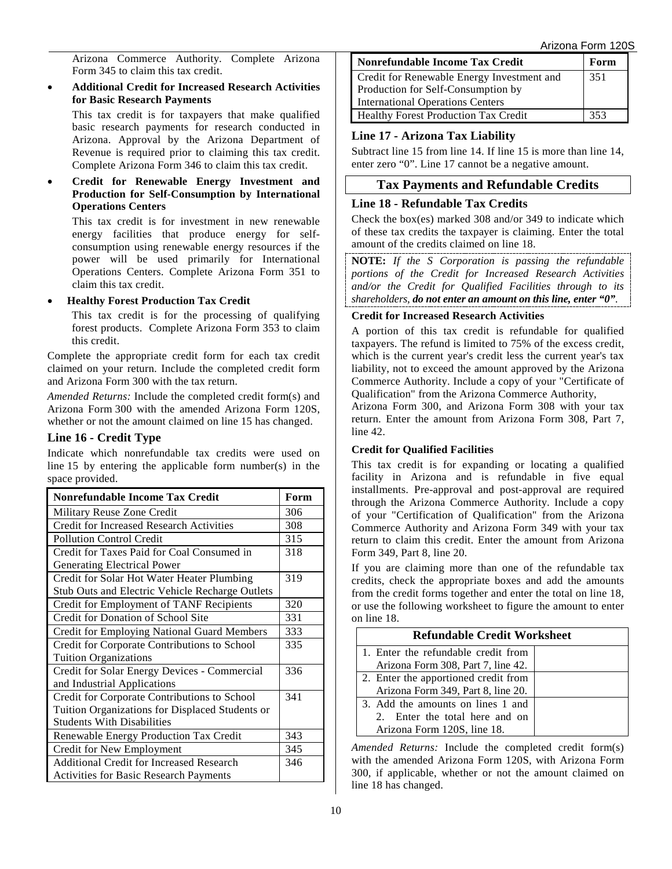Arizona Form 120S

Arizona Commerce Authority. Complete Arizona Form 345 to claim this tax credit.

• **Additional Credit for Increased Research Activities for Basic Research Payments** 

This tax credit is for taxpayers that make qualified basic research payments for research conducted in Arizona. Approval by the Arizona Department of Revenue is required prior to claiming this tax credit. Complete Arizona Form 346 to claim this tax credit.

• **Credit for Renewable Energy Investment and Production for Self-Consumption by International Operations Centers**

This tax credit is for investment in new renewable energy facilities that produce energy for selfconsumption using renewable energy resources if the power will be used primarily for International Operations Centers. Complete Arizona Form 351 to claim this tax credit.

• **Healthy Forest Production Tax Credit**

This tax credit is for the processing of qualifying forest products. Complete Arizona Form 353 to claim this credit.

Complete the appropriate credit form for each tax credit claimed on your return. Include the completed credit form and Arizona Form 300 with the tax return.

*Amended Returns:* Include the completed credit form(s) and Arizona Form 300 with the amended Arizona Form 120S, whether or not the amount claimed on line 15 has changed.

### **Line 16 - Credit Type**

Indicate which nonrefundable tax credits were used on line 15 by entering the applicable form number(s) in the space provided.

| <b>Nonrefundable Income Tax Credit</b>             | Form |
|----------------------------------------------------|------|
| Military Reuse Zone Credit                         | 306  |
| <b>Credit for Increased Research Activities</b>    | 308  |
| <b>Pollution Control Credit</b>                    | 315  |
| Credit for Taxes Paid for Coal Consumed in         | 318  |
| <b>Generating Electrical Power</b>                 |      |
| Credit for Solar Hot Water Heater Plumbing         | 319  |
| Stub Outs and Electric Vehicle Recharge Outlets    |      |
| Credit for Employment of TANF Recipients           | 320  |
| Credit for Donation of School Site                 | 331  |
| <b>Credit for Employing National Guard Members</b> | 333  |
| Credit for Corporate Contributions to School       | 335  |
| <b>Tuition Organizations</b>                       |      |
| Credit for Solar Energy Devices - Commercial       | 336  |
| and Industrial Applications                        |      |
| Credit for Corporate Contributions to School       | 341  |
| Tuition Organizations for Displaced Students or    |      |
| <b>Students With Disabilities</b>                  |      |
| Renewable Energy Production Tax Credit             | 343  |
| Credit for New Employment                          | 345  |
| <b>Additional Credit for Increased Research</b>    | 346  |
| <b>Activities for Basic Research Payments</b>      |      |

| Nonrefundable Income Tax Credit             | Form |
|---------------------------------------------|------|
| Credit for Renewable Energy Investment and  | 351  |
| Production for Self-Consumption by          |      |
| International Operations Centers            |      |
| <b>Healthy Forest Production Tax Credit</b> | 353  |

## **Line 17 - Arizona Tax Liability**

Subtract line 15 from line 14. If line 15 is more than line 14, enter zero "0". Line 17 cannot be a negative amount.

## **Tax Payments and Refundable Credits**

#### **Line 18 - Refundable Tax Credits**

Check the box(es) marked 308 and/or 349 to indicate which of these tax credits the taxpayer is claiming. Enter the total amount of the credits claimed on line 18.

**NOTE:** *If the S Corporation is passing the refundable portions of the Credit for Increased Research Activities and/or the Credit for Qualified Facilities through to its shareholders, do not enter an amount on this line, enter "0".* 

#### **Credit for Increased Research Activities**

A portion of this tax credit is refundable for qualified taxpayers. The refund is limited to 75% of the excess credit, which is the current year's credit less the current year's tax liability, not to exceed the amount approved by the Arizona Commerce Authority. Include a copy of your "Certificate of Qualification" from the Arizona Commerce Authority,

Arizona Form 300, and Arizona Form 308 with your tax return. Enter the amount from Arizona Form 308, Part 7, line 42.

#### **Credit for Qualified Facilities**

This tax credit is for expanding or locating a qualified facility in Arizona and is refundable in five equal installments. Pre-approval and post-approval are required through the Arizona Commerce Authority. Include a copy of your "Certification of Qualification" from the Arizona Commerce Authority and Arizona Form 349 with your tax return to claim this credit. Enter the amount from Arizona Form 349, Part 8, line 20.

If you are claiming more than one of the refundable tax credits, check the appropriate boxes and add the amounts from the credit forms together and enter the total on line 18, or use the following worksheet to figure the amount to enter on line 18.

| <b>Refundable Credit Worksheet</b>                                                                 |  |  |  |  |
|----------------------------------------------------------------------------------------------------|--|--|--|--|
| 1. Enter the refundable credit from<br>Arizona Form 308, Part 7, line 42.                          |  |  |  |  |
| 2. Enter the apportioned credit from<br>Arizona Form 349, Part 8, line 20.                         |  |  |  |  |
| 3. Add the amounts on lines 1 and<br>2. Enter the total here and on<br>Arizona Form 120S, line 18. |  |  |  |  |

*Amended Returns:* Include the completed credit form(s) with the amended Arizona Form 120S, with Arizona Form 300, if applicable, whether or not the amount claimed on line 18 has changed.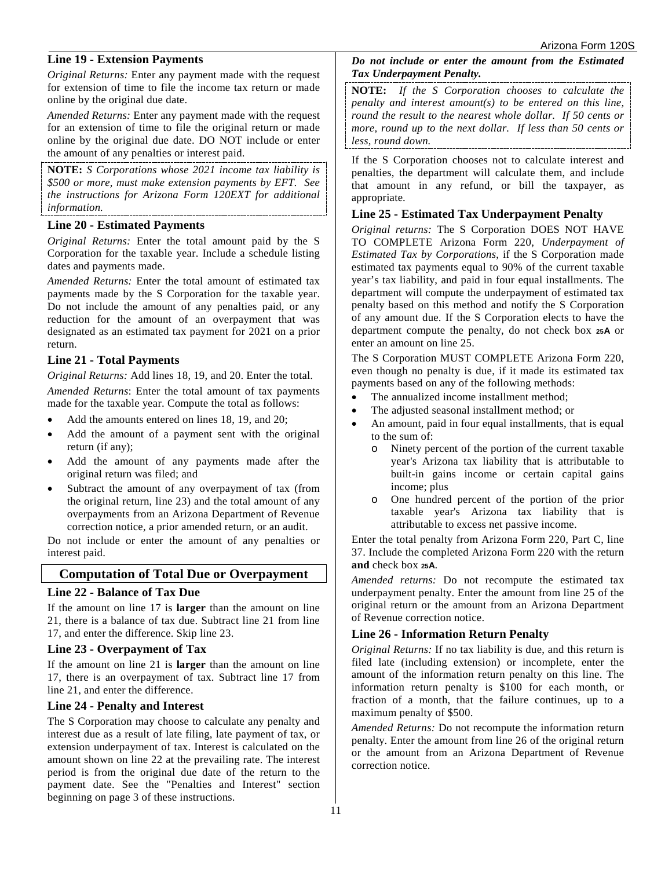#### **Line 19 - Extension Payments**

*Original Returns:* Enter any payment made with the request for extension of time to file the income tax return or made online by the original due date.

*Amended Returns:* Enter any payment made with the request for an extension of time to file the original return or made online by the original due date. DO NOT include or enter the amount of any penalties or interest paid.

**NOTE:** *S Corporations whose 2021 income tax liability is \$500 or more, must make extension payments by EFT. See the instructions for Arizona Form 120EXT for additional information.*

#### **Line 20 - Estimated Payments**

*Original Returns:* Enter the total amount paid by the S Corporation for the taxable year. Include a schedule listing dates and payments made.

*Amended Returns:* Enter the total amount of estimated tax payments made by the S Corporation for the taxable year. Do not include the amount of any penalties paid, or any reduction for the amount of an overpayment that was designated as an estimated tax payment for 2021 on a prior return.

#### **Line 21 - Total Payments**

*Original Returns:* Add lines 18, 19, and 20. Enter the total.

*Amended Returns*: Enter the total amount of tax payments made for the taxable year. Compute the total as follows:

- Add the amounts entered on lines 18, 19, and 20;
- Add the amount of a payment sent with the original return (if any);
- Add the amount of any payments made after the original return was filed; and
- Subtract the amount of any overpayment of tax (from the original return, line 23) and the total amount of any overpayments from an Arizona Department of Revenue correction notice, a prior amended return, or an audit.

Do not include or enter the amount of any penalties or interest paid.

### **Computation of Total Due or Overpayment**

#### **Line 22 - Balance of Tax Due**

If the amount on line 17 is **larger** than the amount on line 21, there is a balance of tax due. Subtract line 21 from line 17, and enter the difference. Skip line 23.

#### **Line 23 - Overpayment of Tax**

If the amount on line 21 is **larger** than the amount on line 17, there is an overpayment of tax. Subtract line 17 from line 21, and enter the difference.

### **Line 24 - Penalty and Interest**

The S Corporation may choose to calculate any penalty and interest due as a result of late filing, late payment of tax, or extension underpayment of tax. Interest is calculated on the amount shown on line 22 at the prevailing rate. The interest period is from the original due date of the return to the payment date. See the "Penalties and Interest" section beginning on page 3 of these instructions.

*Do not include or enter the amount from the Estimated Tax Underpayment Penalty.*

**NOTE:** *If the S Corporation chooses to calculate the penalty and interest amount(s) to be entered on this line, round the result to the nearest whole dollar. If 50 cents or more, round up to the next dollar. If less than 50 cents or less, round down.*

If the S Corporation chooses not to calculate interest and penalties, the department will calculate them, and include that amount in any refund, or bill the taxpayer, as appropriate.

### **Line 25 - Estimated Tax Underpayment Penalty**

*Original returns:* The S Corporation DOES NOT HAVE TO COMPLETE Arizona Form 220, *Underpayment of Estimated Tax by Corporations*, if the S Corporation made estimated tax payments equal to 90% of the current taxable year's tax liability, and paid in four equal installments. The department will compute the underpayment of estimated tax penalty based on this method and notify the S Corporation of any amount due. If the S Corporation elects to have the department compute the penalty, do not check box **25A** or enter an amount on line 25.

The S Corporation MUST COMPLETE Arizona Form 220, even though no penalty is due, if it made its estimated tax payments based on any of the following methods:

- The annualized income installment method;
- The adjusted seasonal installment method; or
- An amount, paid in four equal installments, that is equal to the sum of:
	- o Ninety percent of the portion of the current taxable year's Arizona tax liability that is attributable to built-in gains income or certain capital gains income; plus
	- o One hundred percent of the portion of the prior taxable year's Arizona tax liability that is attributable to excess net passive income.

Enter the total penalty from Arizona Form 220, Part C, line 37. Include the completed Arizona Form 220 with the return **and** check box **25A**.

*Amended returns:* Do not recompute the estimated tax underpayment penalty. Enter the amount from line 25 of the original return or the amount from an Arizona Department of Revenue correction notice.

### **Line 26 - Information Return Penalty**

*Original Returns:* If no tax liability is due, and this return is filed late (including extension) or incomplete, enter the amount of the information return penalty on this line. The information return penalty is \$100 for each month, or fraction of a month, that the failure continues, up to a maximum penalty of \$500.

*Amended Returns:* Do not recompute the information return penalty. Enter the amount from line 26 of the original return or the amount from an Arizona Department of Revenue correction notice.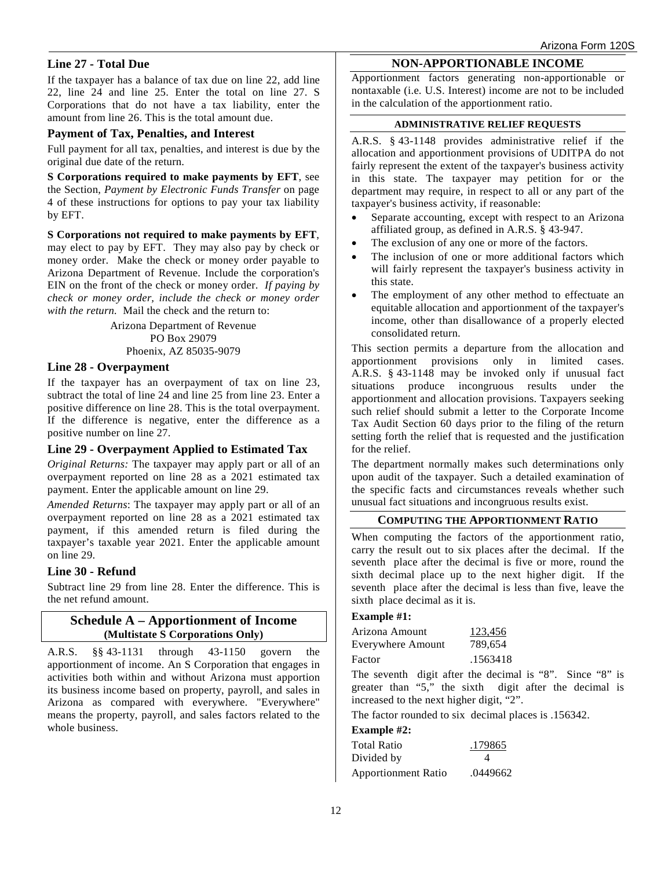### **Line 27 - Total Due**

If the taxpayer has a balance of tax due on line 22, add line 22, line 24 and line 25. Enter the total on line 27. S Corporations that do not have a tax liability, enter the amount from line 26. This is the total amount due.

#### **Payment of Tax, Penalties, and Interest**

Full payment for all tax, penalties, and interest is due by the original due date of the return.

**S Corporations required to make payments by EFT**, see the Section, *Payment by Electronic Funds Transfer* on page 4 of these instructions for options to pay your tax liability by EFT.

**S Corporations not required to make payments by EFT**, may elect to pay by EFT. They may also pay by check or money order. Make the check or money order payable to Arizona Department of Revenue. Include the corporation's EIN on the front of the check or money order. *If paying by check or money order, include the check or money order with the return.* Mail the check and the return to:

> Arizona Department of Revenue PO Box 29079 Phoenix, AZ 85035-9079

#### **Line 28 - Overpayment**

If the taxpayer has an overpayment of tax on line 23, subtract the total of line 24 and line 25 from line 23. Enter a positive difference on line 28. This is the total overpayment. If the difference is negative, enter the difference as a positive number on line 27.

#### **Line 29 - Overpayment Applied to Estimated Tax**

*Original Returns:* The taxpayer may apply part or all of an overpayment reported on line 28 as a 2021 estimated tax payment. Enter the applicable amount on line 29.

*Amended Returns*: The taxpayer may apply part or all of an overpayment reported on line 28 as a 2021 estimated tax payment, if this amended return is filed during the taxpayer's taxable year 2021. Enter the applicable amount on line 29.

### **Line 30 - Refund**

Subtract line 29 from line 28. Enter the difference. This is the net refund amount.

#### **Schedule A – Apportionment of Income (Multistate S Corporations Only)**

A.R.S. §§ 43-1131 through 43-1150 govern the apportionment of income. An S Corporation that engages in activities both within and without Arizona must apportion its business income based on property, payroll, and sales in Arizona as compared with everywhere. "Everywhere" means the property, payroll, and sales factors related to the whole business.

#### **NON-APPORTIONABLE INCOME**

Apportionment factors generating non-apportionable or nontaxable (i.e. U.S. Interest) income are not to be included in the calculation of the apportionment ratio.

#### **ADMINISTRATIVE RELIEF REQUESTS**

A.R.S. § 43-1148 provides administrative relief if the allocation and apportionment provisions of UDITPA do not fairly represent the extent of the taxpayer's business activity in this state. The taxpayer may petition for or the department may require, in respect to all or any part of the taxpayer's business activity, if reasonable:

- Separate accounting, except with respect to an Arizona affiliated group, as defined in A.R.S. § 43-947.
- The exclusion of any one or more of the factors.
- The inclusion of one or more additional factors which will fairly represent the taxpayer's business activity in this state.
- The employment of any other method to effectuate an equitable allocation and apportionment of the taxpayer's income, other than disallowance of a properly elected consolidated return.

This section permits a departure from the allocation and apportionment provisions only in limited cases. A.R.S. § 43-1148 may be invoked only if unusual fact situations produce incongruous results under the apportionment and allocation provisions. Taxpayers seeking such relief should submit a letter to the Corporate Income Tax Audit Section 60 days prior to the filing of the return setting forth the relief that is requested and the justification for the relief.

The department normally makes such determinations only upon audit of the taxpayer. Such a detailed examination of the specific facts and circumstances reveals whether such unusual fact situations and incongruous results exist.

#### **COMPUTING THE APPORTIONMENT RATIO**

When computing the factors of the apportionment ratio, carry the result out to six places after the decimal. If the seventh place after the decimal is five or more, round the sixth decimal place up to the next higher digit. If the seventh place after the decimal is less than five, leave the sixth place decimal as it is.

#### **Example #1:**

| Arizona Amount    | 123,456  |  |  |
|-------------------|----------|--|--|
| Everywhere Amount | 789.654  |  |  |
| Factor            | .1563418 |  |  |

The seventh digit after the decimal is "8". Since "8" is greater than "5," the sixth digit after the decimal is increased to the next higher digit, "2".

The factor rounded to six decimal places is .156342.

#### **Example #2:**

| Total Ratio                | .179865  |
|----------------------------|----------|
| Divided by                 | Δ        |
| <b>Apportionment Ratio</b> | .0449662 |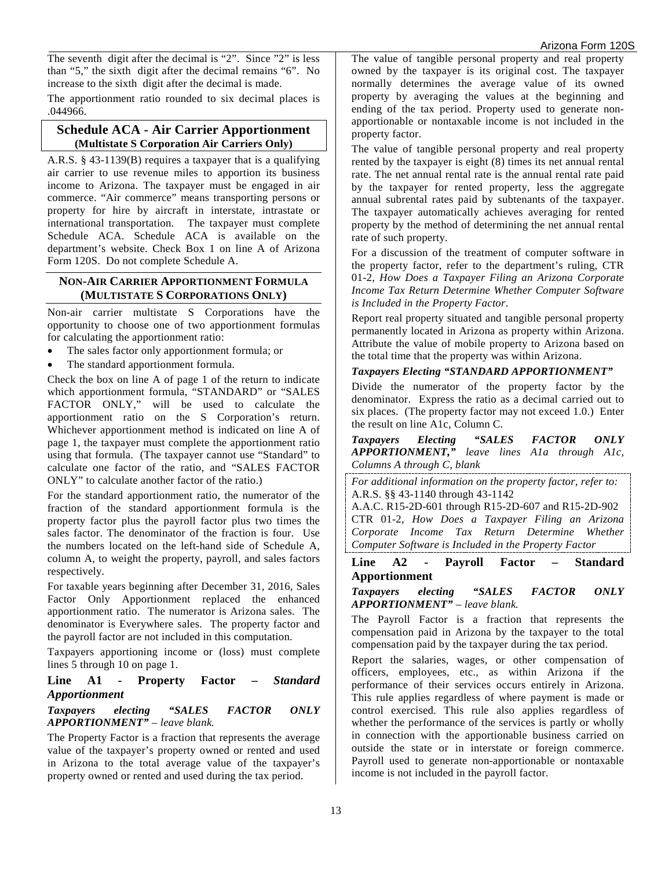The seventh digit after the decimal is "2". Since "2" is less than "5," the sixth digit after the decimal remains "6". No increase to the sixth digit after the decimal is made.

The apportionment ratio rounded to six decimal places is .044966.

#### **Schedule ACA - Air Carrier Apportionment (Multistate S Corporation Air Carriers Only)**

A.R.S. § 43-1139(B) requires a taxpayer that is a qualifying air carrier to use revenue miles to apportion its business income to Arizona. The taxpayer must be engaged in air commerce. "Air commerce" means transporting persons or property for hire by aircraft in interstate, intrastate or international transportation. The taxpayer must complete Schedule ACA. Schedule ACA is available on [the](file://phxfile01/universal/Forms%20Committee/Corporate/2015/05.12.15/Instructions/the) department's website. Check Box 1 on line A of Arizona Form 120S. Do not complete Schedule A.

#### **NON-AIR CARRIER APPORTIONMENT FORMULA (MULTISTATE S CORPORATIONS ONLY)**

Non-air carrier multistate S Corporations have the opportunity to choose one of two apportionment formulas for calculating the apportionment ratio:

- The sales factor only apportionment formula; or
- The standard apportionment formula.

Check the box on line A of page 1 of the return to indicate which apportionment formula, "STANDARD" or "SALES FACTOR ONLY," will be used to calculate the apportionment ratio on the S Corporation's return. Whichever apportionment method is indicated on line A of page 1, the taxpayer must complete the apportionment ratio using that formula. (The taxpayer cannot use "Standard" to calculate one factor of the ratio, and "SALES FACTOR ONLY" to calculate another factor of the ratio.)

For the standard apportionment ratio, the numerator of the fraction of the standard apportionment formula is the property factor plus the payroll factor plus two times the sales factor. The denominator of the fraction is four. Use the numbers located on the left-hand side of Schedule A, column A, to weight the property, payroll, and sales factors respectively.

For taxable years beginning after December 31, 2016, Sales Factor Only Apportionment replaced the enhanced apportionment ratio. The numerator is Arizona sales. The denominator is Everywhere sales. The property factor and the payroll factor are not included in this computation.

Taxpayers apportioning income or (loss) must complete lines 5 through 10 on page 1.

#### **Line A1 - Property Factor –** *Standard Apportionment*

#### *Taxpayers electing "SALES FACTOR ONLY APPORTIONMENT" – leave blank.*

The Property Factor is a fraction that represents the average value of the taxpayer's property owned or rented and used in Arizona to the total average value of the taxpayer's property owned or rented and used during the tax period.

The value of tangible personal property and real property owned by the taxpayer is its original cost. The taxpayer normally determines the average value of its owned property by averaging the values at the beginning and ending of the tax period. Property used to generate nonapportionable or nontaxable income is not included in the property factor.

The value of tangible personal property and real property rented by the taxpayer is eight (8) times its net annual rental rate. The net annual rental rate is the annual rental rate paid by the taxpayer for rented property, less the aggregate annual subrental rates paid by subtenants of the taxpayer. The taxpayer automatically achieves averaging for rented property by the method of determining the net annual rental rate of such property.

For a discussion of the treatment of computer software in the property factor, refer to the department's ruling, CTR 01-2, *How Does a Taxpayer Filing an Arizona Corporate Income Tax Return Determine Whether Computer Software is Included in the Property Factor*.

Report real property situated and tangible personal property permanently located in Arizona as property within Arizona. Attribute the value of mobile property to Arizona based on the total time that the property was within Arizona.

### *Taxpayers Electing "STANDARD APPORTIONMENT"*

Divide the numerator of the property factor by the denominator. Express the ratio as a decimal carried out to six places. (The property factor may not exceed 1.0.) Enter the result on line A1c, Column C.

*Taxpayers Electing "SALES FACTOR ONLY APPORTIONMENT," leave lines A1a through A1c, Columns A through C, blank*

*For additional information on the property factor, refer to:* A.R.S. §§ 43-1140 through 43-1142

A.A.C. R15-2D-601 through R15-2D-607 and R15-2D-902 CTR 01-2*, How Does a Taxpayer Filing an Arizona Corporate Income Tax Return Determine Whether Computer Software is Included in the Property Factor* 

#### **Line A2 - Payroll Factor – Standard Apportionment**

*Taxpayers electing "SALES FACTOR ONLY APPORTIONMENT" – leave blank.*

The Payroll Factor is a fraction that represents the compensation paid in Arizona by the taxpayer to the total compensation paid by the taxpayer during the tax period.

Report the salaries, wages, or other compensation of officers, employees, etc., as within Arizona if the performance of their services occurs entirely in Arizona. This rule applies regardless of where payment is made or control exercised. This rule also applies regardless of whether the performance of the services is partly or wholly in connection with the apportionable business carried on outside the state or in interstate or foreign commerce. Payroll used to generate non-apportionable or nontaxable income is not included in the payroll factor.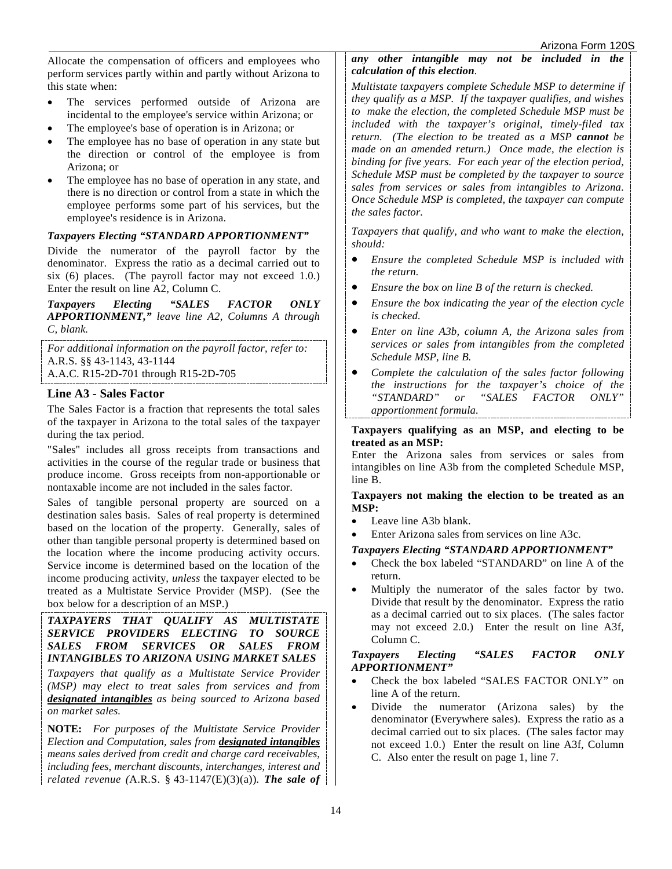Allocate the compensation of officers and employees who perform services partly within and partly without Arizona to this state when:

- The services performed outside of Arizona are incidental to the employee's service within Arizona; or
- The employee's base of operation is in Arizona; or
- The employee has no base of operation in any state but the direction or control of the employee is from Arizona; or
- The employee has no base of operation in any state, and there is no direction or control from a state in which the employee performs some part of his services, but the employee's residence is in Arizona.

### *Taxpayers Electing "STANDARD APPORTIONMENT"*

Divide the numerator of the payroll factor by the denominator. Express the ratio as a decimal carried out to six (6) places. (The payroll factor may not exceed 1.0.) Enter the result on line A2, Column C.

*Taxpayers Electing "SALES FACTOR ONLY APPORTIONMENT," leave line A2, Columns A through C, blank.*

*For additional information on the payroll factor, refer to:* A.R.S. §§ 43-1143, 43-1144 A.A.C. R15-2D-701 through R15-2D-705

#### **Line A3 - Sales Factor**

The Sales Factor is a fraction that represents the total sales of the taxpayer in Arizona to the total sales of the taxpayer during the tax period.

"Sales" includes all gross receipts from transactions and activities in the course of the regular trade or business that produce income. Gross receipts from non-apportionable or nontaxable income are not included in the sales factor.

Sales of tangible personal property are sourced on a destination sales basis. Sales of real property is determined based on the location of the property. Generally, sales of other than tangible personal property is determined based on the location where the income producing activity occurs. Service income is determined based on the location of the income producing activity, *unless* the taxpayer elected to be treated as a Multistate Service Provider (MSP). (See the box below for a description of an MSP.)

#### *TAXPAYERS THAT QUALIFY AS MULTISTATE SERVICE PROVIDERS ELECTING TO SOURCE SALES FROM SERVICES OR SALES FROM INTANGIBLES TO ARIZONA USING MARKET SALES*

*Taxpayers that qualify as a Multistate Service Provider (MSP) may elect to treat sales from services and from designated intangibles as being sourced to Arizona based on market sales.* 

**NOTE:** *For purposes of the Multistate Service Provider Election and Computation, sales from designated intangibles means sales derived from credit and charge card receivables, including fees, merchant discounts, interchanges, interest and related revenue (*A.R.S. § 43-1147(E)(3)(a))*. The sale of*  *any other intangible may not be included in the calculation of this election.* 

*Multistate taxpayers complete Schedule MSP to determine if they qualify as a MSP. If the taxpayer qualifies, and wishes to make the election, the completed Schedule MSP must be included with the taxpayer's original, timely-filed tax return. (The election to be treated as a MSP cannot be made on an amended return.) Once made, the election is binding for five years. For each year of the election period, Schedule MSP must be completed by the taxpayer to source sales from services or sales from intangibles to Arizona. Once Schedule MSP is completed, the taxpayer can compute the sales factor.* 

*Taxpayers that qualify, and who want to make the election, should:* 

- *Ensure the completed Schedule MSP is included with the return.*
- *Ensure the box on line B of the return is checked.*
- *Ensure the box indicating the year of the election cycle is checked.*
- *Enter on line A3b, column A, the Arizona sales from services or sales from intangibles from the completed Schedule MSP, line B.*
- *Complete the calculation of the sales factor following the instructions for the taxpayer's choice of the*  or "SALES FACTOR ONLY" *apportionment formula.*

#### **Taxpayers qualifying as an MSP, and electing to be treated as an MSP:**

Enter the Arizona sales from services or sales from intangibles on line A3b from the completed Schedule MSP, line B.

**Taxpayers not making the election to be treated as an MSP:**

- Leave line A3b blank.
- Enter Arizona sales from services on line A3c.

#### *Taxpayers Electing "STANDARD APPORTIONMENT"*

- Check the box labeled "STANDARD" on line A of the return.
- Multiply the numerator of the sales factor by two. Divide that result by the denominator. Express the ratio as a decimal carried out to six places. (The sales factor may not exceed 2.0.) Enter the result on line A3f, Column C.

#### *Taxpayers Electing "SALES FACTOR ONLY APPORTIONMENT"*

- Check the box labeled "SALES FACTOR ONLY" on line A of the return.
- Divide the numerator (Arizona sales) by the denominator (Everywhere sales). Express the ratio as a decimal carried out to six places. (The sales factor may not exceed 1.0.) Enter the result on line A3f, Column C. Also enter the result on page 1, line 7.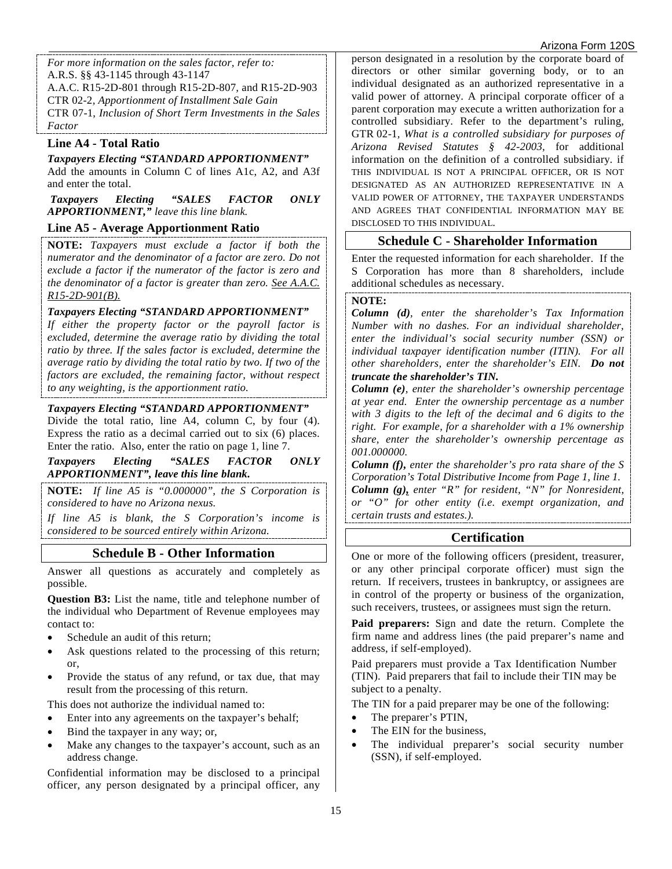*For more information on the sales factor, refer to:* A.R.S. §§ 43-1145 through 43-1147 A.A.C. R15-2D-801 through R15-2D-807*,* and R15-2D-903 CTR 02-2*, Apportionment of Installment Sale Gain* CTR 07-1, *Inclusion of Short Term Investments in the Sales Factor*

### **Line A4 - Total Ratio**

*Taxpayers Electing "STANDARD APPORTIONMENT"*  Add the amounts in Column C of lines A1c, A2, and A3f and enter the total.

*Taxpayers Electing "SALES FACTOR ONLY APPORTIONMENT," leave this line blank.* 

## **Line A5 - Average Apportionment Ratio**

**NOTE:** *Taxpayers must exclude a factor if both the numerator and the denominator of a factor are zero. Do not exclude a factor if the numerator of the factor is zero and the denominator of a factor is greater than zero. See A.A.C. R15-2D-901(B).*

#### *Taxpayers Electing "STANDARD APPORTIONMENT"*

*If either the property factor or the payroll factor is excluded, determine the average ratio by dividing the total ratio by three. If the sales factor is excluded, determine the average ratio by dividing the total ratio by two. If two of the factors are excluded, the remaining factor, without respect to any weighting, is the apportionment ratio.*

#### *Taxpayers Electing "STANDARD APPORTIONMENT"*

Divide the total ratio, line A4, column C, by four (4). Express the ratio as a decimal carried out to six (6) places. Enter the ratio. Also, enter the ratio on page 1, line 7.

*Taxpayers Electing "SALES FACTOR ONLY APPORTIONMENT", leave this line blank.*

**NOTE:** *If line A5 is "0.000000", the S Corporation is considered to have no Arizona nexus.* 

*If line A5 is blank, the S Corporation's income is considered to be sourced entirely within Arizona.* 

## **Schedule B - Other Information**

Answer all questions as accurately and completely as possible.

**Question B3:** List the name, title and telephone number of the individual who Department of Revenue employees may contact to:

- Schedule an audit of this return;
- Ask questions related to the processing of this return; or,
- Provide the status of any refund, or tax due, that may result from the processing of this return.

This does not authorize the individual named to:

- Enter into any agreements on the taxpayer's behalf;
- Bind the taxpayer in any way; or,
- Make any changes to the taxpayer's account, such as an address change.

Confidential information may be disclosed to a principal officer, any person designated by a principal officer, any

person designated in a resolution by the corporate board of directors or other similar governing body, or to an individual designated as an authorized representative in a valid power of attorney. A principal corporate officer of a parent corporation may execute a written authorization for a controlled subsidiary. Refer to the department's ruling, GTR 02-1*, What is a controlled subsidiary for purposes of Arizona Revised Statutes § 42-2003,* for additional information on the definition of a controlled subsidiary. if THIS INDIVIDUAL IS NOT A PRINCIPAL OFFICER, OR IS NOT DESIGNATED AS AN AUTHORIZED REPRESENTATIVE IN A VALID POWER OF ATTORNEY, THE TAXPAYER UNDERSTANDS AND AGREES THAT CONFIDENTIAL INFORMATION MAY BE DISCLOSED TO THIS INDIVIDUAL.

## **Schedule C - Shareholder Information**

Enter the requested information for each shareholder. If the S Corporation has more than 8 shareholders, include additional schedules as necessary.

#### **NOTE:**

*Column (d), enter the shareholder's Tax Information Number with no dashes. For an individual shareholder, enter the individual's social security number (SSN) or individual taxpayer identification number (ITIN). For all other shareholders, enter the shareholder's EIN. Do not truncate the shareholder's TIN.* 

*Column (e), enter the shareholder's ownership percentage at year end. Enter the ownership percentage as a number with 3 digits to the left of the decimal and 6 digits to the right. For example, for a shareholder with a 1% ownership share, enter the shareholder's ownership percentage as 001.000000.* 

*Column (f), enter the shareholder's pro rata share of the S Corporation's Total Distributive Income from Page 1, line 1. Column (g), enter "R" for resident, "N" for Nonresident, or "O" for other entity (i.e. exempt organization, and certain trusts and estates.).*

## **Certification**

One or more of the following officers (president, treasurer, or any other principal corporate officer) must sign the return. If receivers, trustees in bankruptcy, or assignees are in control of the property or business of the organization, such receivers, trustees, or assignees must sign the return.

**Paid preparers:** Sign and date the return. Complete the firm name and address lines (the paid preparer's name and address, if self-employed).

Paid preparers must provide a Tax Identification Number (TIN). Paid preparers that fail to include their TIN may be subject to a penalty.

The TIN for a paid preparer may be one of the following:

- The preparer's PTIN.
- The EIN for the business,
- The individual preparer's social security number (SSN), if self-employed.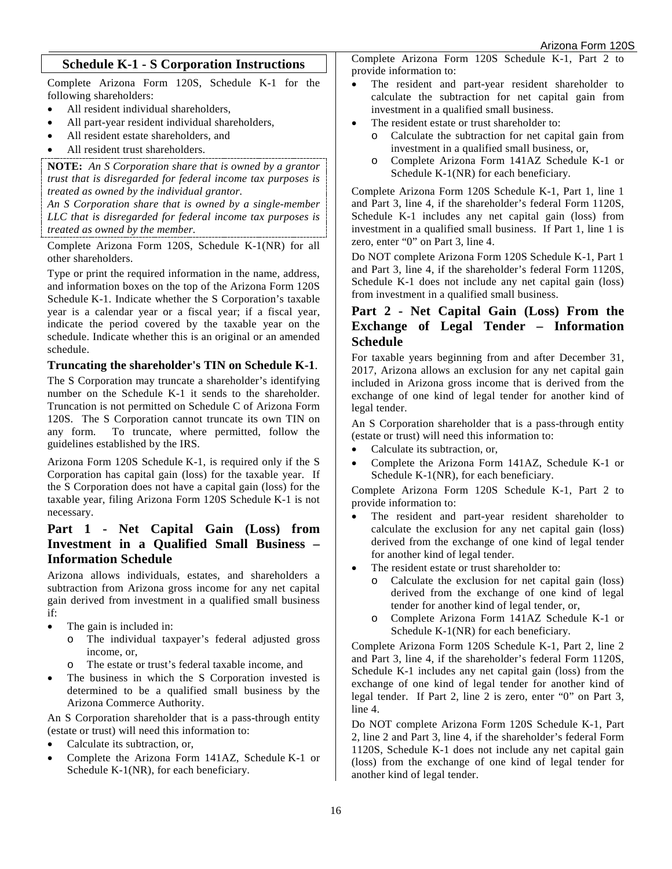## **Schedule K-1 - S Corporation Instructions**

Complete Arizona Form 120S, Schedule K-1 for the following shareholders:

- All resident individual shareholders,
- All part-year resident individual shareholders,
- All resident estate shareholders, and
- All resident trust shareholders.

**NOTE:** *An S Corporation share that is owned by a grantor trust that is disregarded for federal income tax purposes is treated as owned by the individual grantor.*

*An S Corporation share that is owned by a single-member LLC that is disregarded for federal income tax purposes is treated as owned by the member.* 

Complete Arizona Form 120S, Schedule K-1(NR) for all other shareholders.

Type or print the required information in the name, address, and information boxes on the top of the Arizona Form 120S Schedule K-1. Indicate whether the S Corporation's taxable year is a calendar year or a fiscal year; if a fiscal year, indicate the period covered by the taxable year on the schedule. Indicate whether this is an original or an amended schedule.

#### **Truncating the shareholder's TIN on Schedule K-1**.

The S Corporation may truncate a shareholder's identifying number on the Schedule K-1 it sends to the shareholder. Truncation is not permitted on Schedule C of Arizona Form 120S. The S Corporation cannot truncate its own TIN on any form. To truncate, where permitted, follow the guidelines established by the IRS.

Arizona Form 120S Schedule K-1, is required only if the S Corporation has capital gain (loss) for the taxable year. If the S Corporation does not have a capital gain (loss) for the taxable year, filing Arizona Form 120S Schedule K-1 is not necessary.

## **Part 1 - Net Capital Gain (Loss) from Investment in a Qualified Small Business – Information Schedule**

Arizona allows individuals, estates, and shareholders a subtraction from Arizona gross income for any net capital gain derived from investment in a qualified small business if:

- The gain is included in:
	- o The individual taxpayer's federal adjusted gross income, or,
	- o The estate or trust's federal taxable income, and
- The business in which the S Corporation invested is determined to be a qualified small business by the Arizona Commerce Authority.

An S Corporation shareholder that is a pass-through entity (estate or trust) will need this information to:

- Calculate its subtraction, or,
- Complete the Arizona Form 141AZ, Schedule K-1 or Schedule K-1(NR), for each beneficiary.

Complete Arizona Form 120S Schedule K-1, Part 2 to provide information to:

- The resident and part-year resident shareholder to calculate the subtraction for net capital gain from investment in a qualified small business.
- The resident estate or trust shareholder to:
	- o Calculate the subtraction for net capital gain from investment in a qualified small business, or,
		- o Complete Arizona Form 141AZ Schedule K-1 or Schedule K-1(NR) for each beneficiary.

Complete Arizona Form 120S Schedule K-1, Part 1, line 1 and Part 3, line 4, if the shareholder's federal Form 1120S, Schedule K-1 includes any net capital gain (loss) from investment in a qualified small business. If Part 1, line 1 is zero, enter "0" on Part 3, line 4.

Do NOT complete Arizona Form 120S Schedule K-1, Part 1 and Part 3, line 4, if the shareholder's federal Form 1120S, Schedule K-1 does not include any net capital gain (loss) from investment in a qualified small business.

## **Part 2 - Net Capital Gain (Loss) From the Exchange of Legal Tender – Information Schedule**

For taxable years beginning from and after December 31, 2017, Arizona allows an exclusion for any net capital gain included in Arizona gross income that is derived from the exchange of one kind of legal tender for another kind of legal tender.

An S Corporation shareholder that is a pass-through entity (estate or trust) will need this information to:

- Calculate its subtraction, or,
- Complete the Arizona Form 141AZ, Schedule K-1 or Schedule K-1(NR), for each beneficiary.

Complete Arizona Form 120S Schedule K-1, Part 2 to provide information to:

- The resident and part-year resident shareholder to calculate the exclusion for any net capital gain (loss) derived from the exchange of one kind of legal tender for another kind of legal tender.
- The resident estate or trust shareholder to:
	- o Calculate the exclusion for net capital gain (loss) derived from the exchange of one kind of legal tender for another kind of legal tender, or,
	- o Complete Arizona Form 141AZ Schedule K-1 or Schedule K-1(NR) for each beneficiary.

Complete Arizona Form 120S Schedule K-1, Part 2, line 2 and Part 3, line 4, if the shareholder's federal Form 1120S, Schedule K-1 includes any net capital gain (loss) from the exchange of one kind of legal tender for another kind of legal tender. If Part 2, line 2 is zero, enter "0" on Part 3, line 4.

Do NOT complete Arizona Form 120S Schedule K-1, Part 2, line 2 and Part 3, line 4, if the shareholder's federal Form 1120S, Schedule K-1 does not include any net capital gain (loss) from the exchange of one kind of legal tender for another kind of legal tender.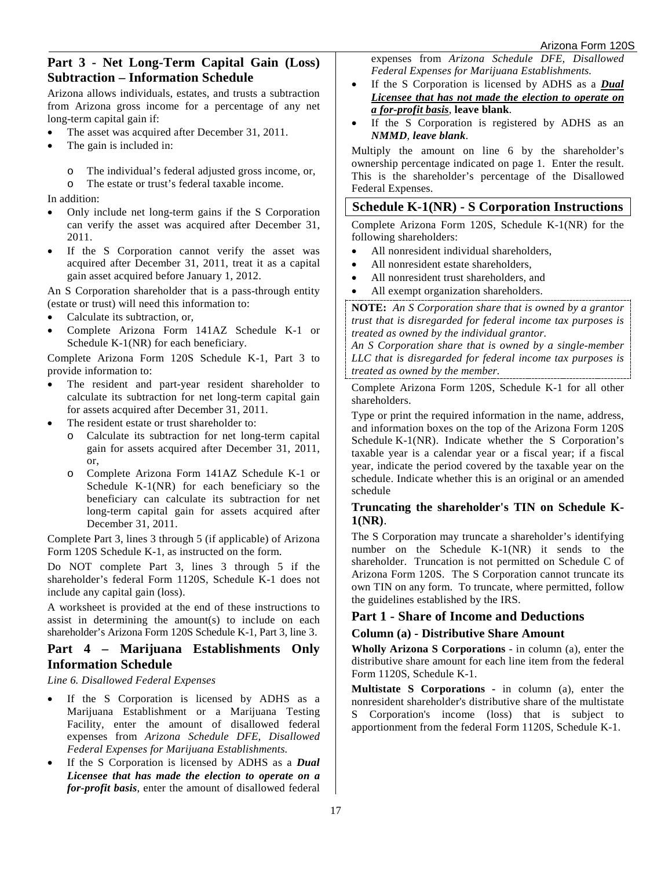## **Part 3 - Net Long-Term Capital Gain (Loss) Subtraction – Information Schedule**

Arizona allows individuals, estates, and trusts a subtraction from Arizona gross income for a percentage of any net long-term capital gain if:

- The asset was acquired after December 31, 2011.
- The gain is included in:
	- o The individual's federal adjusted gross income, or,
- o The estate or trust's federal taxable income.

In addition:

- Only include net long-term gains if the S Corporation can verify the asset was acquired after December 31, 2011.
- If the S Corporation cannot verify the asset was acquired after December 31, 2011, treat it as a capital gain asset acquired before January 1, 2012.

An S Corporation shareholder that is a pass-through entity (estate or trust) will need this information to:

- Calculate its subtraction, or,
- Complete Arizona Form 141AZ Schedule K-1 or Schedule K-1(NR) for each beneficiary.

Complete Arizona Form 120S Schedule K-1, Part 3 to provide information to:

- The resident and part-year resident shareholder to calculate its subtraction for net long-term capital gain for assets acquired after December 31, 2011.
- The resident estate or trust shareholder to:
	- o Calculate its subtraction for net long-term capital gain for assets acquired after December 31, 2011, or,
	- o Complete Arizona Form 141AZ Schedule K-1 or Schedule K-1(NR) for each beneficiary so the beneficiary can calculate its subtraction for net long-term capital gain for assets acquired after December 31, 2011.

Complete Part 3, lines 3 through 5 (if applicable) of Arizona Form 120S Schedule K-1, as instructed on the form.

Do NOT complete Part 3, lines 3 through 5 if the shareholder's federal Form 1120S, Schedule K-1 does not include any capital gain (loss).

A worksheet is provided at the end of these instructions to assist in determining the amount(s) to include on each shareholder's Arizona Form 120S Schedule K-1, Part 3, line 3.

#### **Part 4 – Marijuana Establishments Only Information Schedule**

*Line 6. Disallowed Federal Expenses*

- If the S Corporation is licensed by ADHS as a Marijuana Establishment or a Marijuana Testing Facility, enter the amount of disallowed federal expenses from *Arizona Schedule DFE, Disallowed Federal Expenses for Marijuana Establishments.*
- If the S Corporation is licensed by ADHS as a *Dual Licensee that has made the election to operate on a for-profit basis*, enter the amount of disallowed federal

expenses from *Arizona Schedule DFE, Disallowed Federal Expenses for Marijuana Establishments.*

- If the S Corporation is licensed by ADHS as a *Dual Licensee that has not made the election to operate on a for-profit basis*, **leave blank**.
- If the S Corporation is registered by ADHS as an *NMMD*, *leave blank*.

Multiply the amount on line 6 by the shareholder's ownership percentage indicated on page 1. Enter the result. This is the shareholder's percentage of the Disallowed Federal Expenses.

## **Schedule K-1(NR) - S Corporation Instructions**

Complete Arizona Form 120S, Schedule K-1(NR) for the following shareholders:

- All nonresident individual shareholders,
- All nonresident estate shareholders.
- All nonresident trust shareholders, and
- All exempt organization shareholders.

**NOTE:** *An S Corporation share that is owned by a grantor trust that is disregarded for federal income tax purposes is treated as owned by the individual grantor.*

*An S Corporation share that is owned by a single-member LLC that is disregarded for federal income tax purposes is treated as owned by the member.* 

Complete Arizona Form 120S, Schedule K-1 for all other shareholders.

Type or print the required information in the name, address, and information boxes on the top of the Arizona Form 120S Schedule K-1(NR). Indicate whether the S Corporation's taxable year is a calendar year or a fiscal year; if a fiscal year, indicate the period covered by the taxable year on the schedule. Indicate whether this is an original or an amended schedule

#### **Truncating the shareholder's TIN on Schedule K-1(NR)**.

The S Corporation may truncate a shareholder's identifying number on the Schedule K-1(NR) it sends to the shareholder. Truncation is not permitted on Schedule C of Arizona Form 120S. The S Corporation cannot truncate its own TIN on any form. To truncate, where permitted, follow the guidelines established by the IRS.

### **Part 1 - Share of Income and Deductions**

#### **Column (a) - Distributive Share Amount**

**Wholly Arizona S Corporations** - in column (a), enter the distributive share amount for each line item from the federal Form 1120S, Schedule K-1.

**Multistate S Corporations -** in column (a), enter the nonresident shareholder's distributive share of the multistate S Corporation's income (loss) that is subject to apportionment from the federal Form 1120S, Schedule K-1.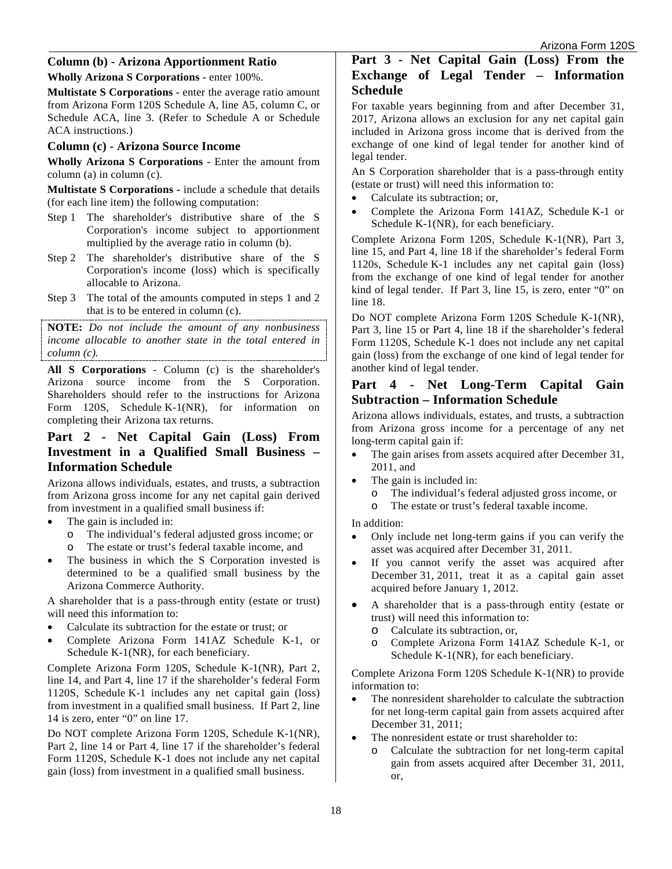### **Column (b) - Arizona Apportionment Ratio**

**Wholly Arizona S Corporations -** enter 100%.

**Multistate S Corporations** - enter the average ratio amount from Arizona Form 120S Schedule A, line A5, column C, or Schedule ACA, line 3. (Refer to Schedule A or Schedule ACA instructions.)

#### **Column (c) - Arizona Source Income**

**Wholly Arizona S Corporations** - Enter the amount from column (a) in column (c).

**Multistate S Corporations -** include a schedule that details (for each line item) the following computation:

- Step 1 The shareholder's distributive share of the S Corporation's income subject to apportionment multiplied by the average ratio in column (b).
- Step 2 The shareholder's distributive share of the S Corporation's income (loss) which is specifically allocable to Arizona.
- Step 3 The total of the amounts computed in steps 1 and 2 that is to be entered in column (c).

**NOTE:** *Do not include the amount of any nonbusiness income allocable to another state in the total entered in column (c).*

**All S Corporations** - Column (c) is the shareholder's Arizona source income from the S Corporation. Shareholders should refer to the instructions for Arizona Form 120S, Schedule K-1(NR), for information on completing their Arizona tax returns.

## **Part 2 - Net Capital Gain (Loss) From Investment in a Qualified Small Business – Information Schedule**

Arizona allows individuals, estates, and trusts, a subtraction from Arizona gross income for any net capital gain derived from investment in a qualified small business if:

- The gain is included in:
	- o The individual's federal adjusted gross income; or
	- The estate or trust's federal taxable income, and
- The business in which the S Corporation invested is determined to be a qualified small business by the Arizona Commerce Authority.

A shareholder that is a pass-through entity (estate or trust) will need this information to:

- Calculate its subtraction for the estate or trust; or
- Complete Arizona Form 141AZ Schedule K-1, or Schedule K-1(NR), for each beneficiary.

Complete Arizona Form 120S, Schedule K-1(NR), Part 2, line 14, and Part 4, line 17 if the shareholder's federal Form 1120S, Schedule K-1 includes any net capital gain (loss) from investment in a qualified small business. If Part 2, line 14 is zero, enter "0" on line 17.

Do NOT complete Arizona Form 120S, Schedule K-1(NR), Part 2, line 14 or Part 4, line 17 if the shareholder's federal Form 1120S, Schedule K-1 does not include any net capital gain (loss) from investment in a qualified small business.

## **Part 3 - Net Capital Gain (Loss) From the Exchange of Legal Tender – Information Schedule**

For taxable years beginning from and after December 31, 2017, Arizona allows an exclusion for any net capital gain included in Arizona gross income that is derived from the exchange of one kind of legal tender for another kind of legal tender.

An S Corporation shareholder that is a pass-through entity (estate or trust) will need this information to:

- Calculate its subtraction; or,
- Complete the Arizona Form 141AZ, Schedule K-1 or Schedule K-1(NR), for each beneficiary.

Complete Arizona Form 120S, Schedule K-1(NR), Part 3, line 15, and Part 4, line 18 if the shareholder's federal Form 1120s, Schedule K-1 includes any net capital gain (loss) from the exchange of one kind of legal tender for another kind of legal tender. If Part 3, line 15, is zero, enter "0" on line 18.

Do NOT complete Arizona Form 120S Schedule K-1(NR), Part 3, line 15 or Part 4, line 18 if the shareholder's federal Form 1120S, Schedule K-1 does not include any net capital gain (loss) from the exchange of one kind of legal tender for another kind of legal tender.

## **Part 4 - Net Long-Term Capital Gain Subtraction – Information Schedule**

Arizona allows individuals, estates, and trusts, a subtraction from Arizona gross income for a percentage of any net long-term capital gain if:

- The gain arises from assets acquired after December 31, 2011, and
- The gain is included in:
	- o The individual's federal adjusted gross income, or
	- o The estate or trust's federal taxable income.

In addition:

- Only include net long-term gains if you can verify the asset was acquired after December 31, 2011.
- If you cannot verify the asset was acquired after December 31, 2011, treat it as a capital gain asset acquired before January 1, 2012.
- A shareholder that is a pass-through entity (estate or trust) will need this information to:
	- o Calculate its subtraction, or,
	- Complete Arizona Form 141AZ Schedule K-1, or Schedule K-1(NR), for each beneficiary.

Complete Arizona Form 120S Schedule K-1(NR) to provide information to:

- The nonresident shareholder to calculate the subtraction for net long-term capital gain from assets acquired after December 31, 2011;
- The nonresident estate or trust shareholder to:
	- o Calculate the subtraction for net long-term capital gain from assets acquired after December 31, 2011, or,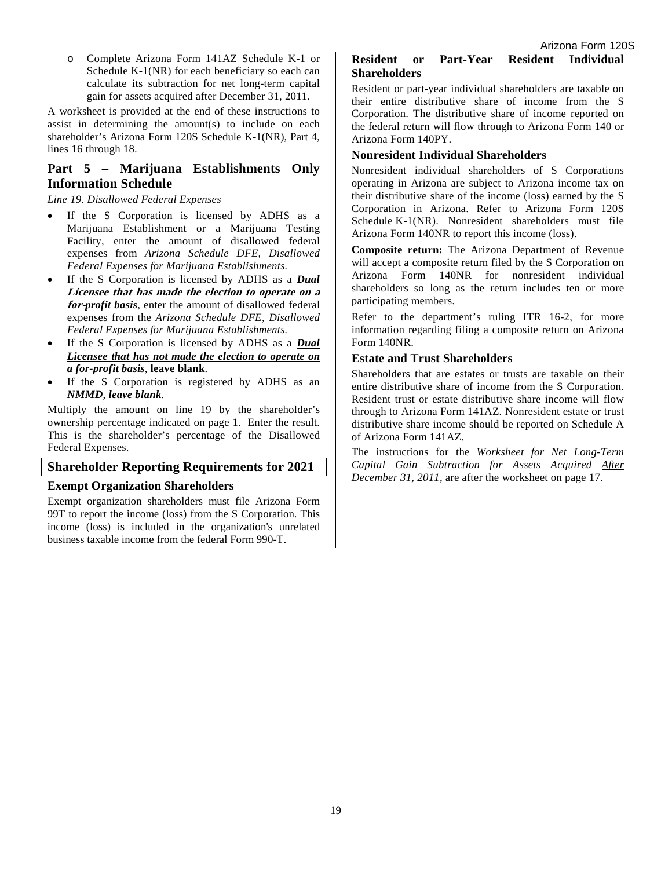o Complete Arizona Form 141AZ Schedule K-1 or Schedule K-1(NR) for each beneficiary so each can calculate its subtraction for net long-term capital gain for assets acquired after December 31, 2011.

A worksheet is provided at the end of these instructions to assist in determining the amount(s) to include on each shareholder's Arizona Form 120S Schedule K-1(NR), Part 4, lines 16 through 18.

## **Part 5 – Marijuana Establishments Only Information Schedule**

#### *Line 19. Disallowed Federal Expenses*

- If the S Corporation is licensed by ADHS as a Marijuana Establishment or a Marijuana Testing Facility, enter the amount of disallowed federal expenses from *Arizona Schedule DFE, Disallowed Federal Expenses for Marijuana Establishments.*
- If the S Corporation is licensed by ADHS as a *Dual*  **Licensee that has made the election to operate on a for-***profit basis*, enter the amount of disallowed federal expenses from the *Arizona Schedule DFE, Disallowed Federal Expenses for Marijuana Establishments.*
- If the S Corporation is licensed by ADHS as a *Dual Licensee that has not made the election to operate on a for-profit basis*, **leave blank**.
- If the S Corporation is registered by ADHS as an *NMMD*, *leave blank*.

Multiply the amount on line 19 by the shareholder's ownership percentage indicated on page 1. Enter the result. This is the shareholder's percentage of the Disallowed Federal Expenses.

## **Shareholder Reporting Requirements for 2021**

### **Exempt Organization Shareholders**

Exempt organization shareholders must file Arizona Form 99T to report the income (loss) from the S Corporation. This income (loss) is included in the organization's unrelated business taxable income from the federal Form 990-T.

#### **Resident or Part-Year Resident Individual Shareholders**

Resident or part-year individual shareholders are taxable on their entire distributive share of income from the S Corporation. The distributive share of income reported on the federal return will flow through to Arizona Form 140 or Arizona Form 140PY.

### **Nonresident Individual Shareholders**

Nonresident individual shareholders of S Corporations operating in Arizona are subject to Arizona income tax on their distributive share of the income (loss) earned by the S Corporation in Arizona. Refer to Arizona Form 120S Schedule K-1(NR). Nonresident shareholders must file Arizona Form 140NR to report this income (loss).

**Composite return:** The Arizona Department of Revenue will accept a composite return filed by the S Corporation on Arizona Form 140NR for nonresident individual shareholders so long as the return includes ten or more participating members.

Refer to the department's ruling ITR 16-2, for more information regarding filing a composite return on Arizona Form 140NR.

## **Estate and Trust Shareholders**

Shareholders that are estates or trusts are taxable on their entire distributive share of income from the S Corporation. Resident trust or estate distributive share income will flow through to Arizona Form 141AZ. Nonresident estate or trust distributive share income should be reported on Schedule A of Arizona Form 141AZ.

The instructions for the *Worksheet for Net Long-Term Capital Gain Subtraction for Assets Acquired After December 31, 2011,* are after the worksheet on page 17.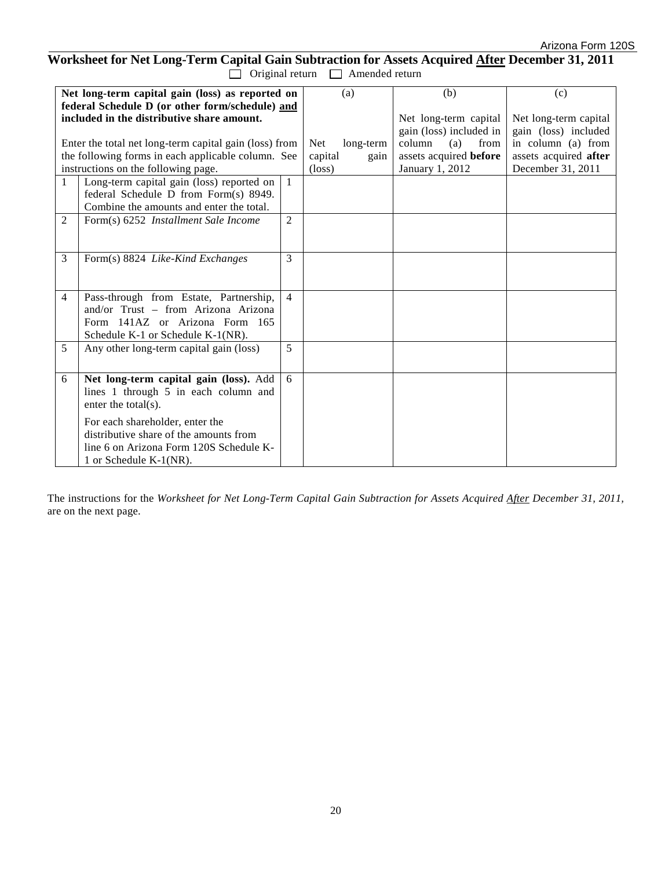## **Worksheet for Net Long-Term Capital Gain Subtraction for Assets Acquired After December 31, 2011**  $\Box$  Original return  $\Box$  Amended return

|                                         |                                                                                                                                                                                                                                                                                                                                                                                                                                                                                                       | (a)                                                                                                                                                                                                                                                                          | (b)                                                    | (c)                                                                                           |
|-----------------------------------------|-------------------------------------------------------------------------------------------------------------------------------------------------------------------------------------------------------------------------------------------------------------------------------------------------------------------------------------------------------------------------------------------------------------------------------------------------------------------------------------------------------|------------------------------------------------------------------------------------------------------------------------------------------------------------------------------------------------------------------------------------------------------------------------------|--------------------------------------------------------|-----------------------------------------------------------------------------------------------|
|                                         |                                                                                                                                                                                                                                                                                                                                                                                                                                                                                                       |                                                                                                                                                                                                                                                                              | Net long-term capital                                  | Net long-term capital                                                                         |
|                                         |                                                                                                                                                                                                                                                                                                                                                                                                                                                                                                       |                                                                                                                                                                                                                                                                              |                                                        | gain (loss) included                                                                          |
|                                         |                                                                                                                                                                                                                                                                                                                                                                                                                                                                                                       |                                                                                                                                                                                                                                                                              |                                                        | in column (a) from                                                                            |
|                                         |                                                                                                                                                                                                                                                                                                                                                                                                                                                                                                       |                                                                                                                                                                                                                                                                              |                                                        | assets acquired after                                                                         |
|                                         |                                                                                                                                                                                                                                                                                                                                                                                                                                                                                                       |                                                                                                                                                                                                                                                                              |                                                        | December 31, 2011                                                                             |
|                                         |                                                                                                                                                                                                                                                                                                                                                                                                                                                                                                       |                                                                                                                                                                                                                                                                              |                                                        |                                                                                               |
|                                         |                                                                                                                                                                                                                                                                                                                                                                                                                                                                                                       |                                                                                                                                                                                                                                                                              |                                                        |                                                                                               |
|                                         |                                                                                                                                                                                                                                                                                                                                                                                                                                                                                                       |                                                                                                                                                                                                                                                                              |                                                        |                                                                                               |
|                                         |                                                                                                                                                                                                                                                                                                                                                                                                                                                                                                       |                                                                                                                                                                                                                                                                              |                                                        |                                                                                               |
|                                         |                                                                                                                                                                                                                                                                                                                                                                                                                                                                                                       |                                                                                                                                                                                                                                                                              |                                                        |                                                                                               |
|                                         |                                                                                                                                                                                                                                                                                                                                                                                                                                                                                                       |                                                                                                                                                                                                                                                                              |                                                        |                                                                                               |
|                                         |                                                                                                                                                                                                                                                                                                                                                                                                                                                                                                       |                                                                                                                                                                                                                                                                              |                                                        |                                                                                               |
|                                         |                                                                                                                                                                                                                                                                                                                                                                                                                                                                                                       |                                                                                                                                                                                                                                                                              |                                                        |                                                                                               |
|                                         |                                                                                                                                                                                                                                                                                                                                                                                                                                                                                                       |                                                                                                                                                                                                                                                                              |                                                        |                                                                                               |
| and/or Trust – from Arizona Arizona     |                                                                                                                                                                                                                                                                                                                                                                                                                                                                                                       |                                                                                                                                                                                                                                                                              |                                                        |                                                                                               |
|                                         |                                                                                                                                                                                                                                                                                                                                                                                                                                                                                                       |                                                                                                                                                                                                                                                                              |                                                        |                                                                                               |
|                                         |                                                                                                                                                                                                                                                                                                                                                                                                                                                                                                       |                                                                                                                                                                                                                                                                              |                                                        |                                                                                               |
| Any other long-term capital gain (loss) | 5                                                                                                                                                                                                                                                                                                                                                                                                                                                                                                     |                                                                                                                                                                                                                                                                              |                                                        |                                                                                               |
|                                         |                                                                                                                                                                                                                                                                                                                                                                                                                                                                                                       |                                                                                                                                                                                                                                                                              |                                                        |                                                                                               |
| Net long-term capital gain (loss). Add  | 6                                                                                                                                                                                                                                                                                                                                                                                                                                                                                                     |                                                                                                                                                                                                                                                                              |                                                        |                                                                                               |
| lines 1 through 5 in each column and    |                                                                                                                                                                                                                                                                                                                                                                                                                                                                                                       |                                                                                                                                                                                                                                                                              |                                                        |                                                                                               |
| enter the total $(s)$ .                 |                                                                                                                                                                                                                                                                                                                                                                                                                                                                                                       |                                                                                                                                                                                                                                                                              |                                                        |                                                                                               |
|                                         |                                                                                                                                                                                                                                                                                                                                                                                                                                                                                                       |                                                                                                                                                                                                                                                                              |                                                        |                                                                                               |
| distributive share of the amounts from  |                                                                                                                                                                                                                                                                                                                                                                                                                                                                                                       |                                                                                                                                                                                                                                                                              |                                                        |                                                                                               |
|                                         |                                                                                                                                                                                                                                                                                                                                                                                                                                                                                                       |                                                                                                                                                                                                                                                                              |                                                        |                                                                                               |
| 1 or Schedule K-1(NR).                  |                                                                                                                                                                                                                                                                                                                                                                                                                                                                                                       |                                                                                                                                                                                                                                                                              |                                                        |                                                                                               |
|                                         | included in the distributive share amount.<br>instructions on the following page.<br>Long-term capital gain (loss) reported on<br>federal Schedule D from Form(s) 8949.<br>Combine the amounts and enter the total.<br>Form(s) 6252 <i>Installment Sale Income</i><br>Form(s) 8824 Like-Kind Exchanges<br>Pass-through from Estate, Partnership,<br>Form 141AZ or Arizona Form 165<br>Schedule K-1 or Schedule K-1(NR).<br>For each shareholder, enter the<br>line 6 on Arizona Form 120S Schedule K- | Net long-term capital gain (loss) as reported on<br>federal Schedule D (or other form/schedule) and<br>Enter the total net long-term capital gain (loss) from<br>the following forms in each applicable column. See<br>$\mathbf{1}$<br>$\overline{c}$<br>3<br>$\overline{4}$ | Net<br>long-term<br>capital<br>gain<br>$(\text{loss})$ | gain (loss) included in<br>column<br>(a)<br>from<br>assets acquired before<br>January 1, 2012 |

The instructions for the *Worksheet for Net Long-Term Capital Gain Subtraction for Assets Acquired After December 31, 2011,*  are on the next page.